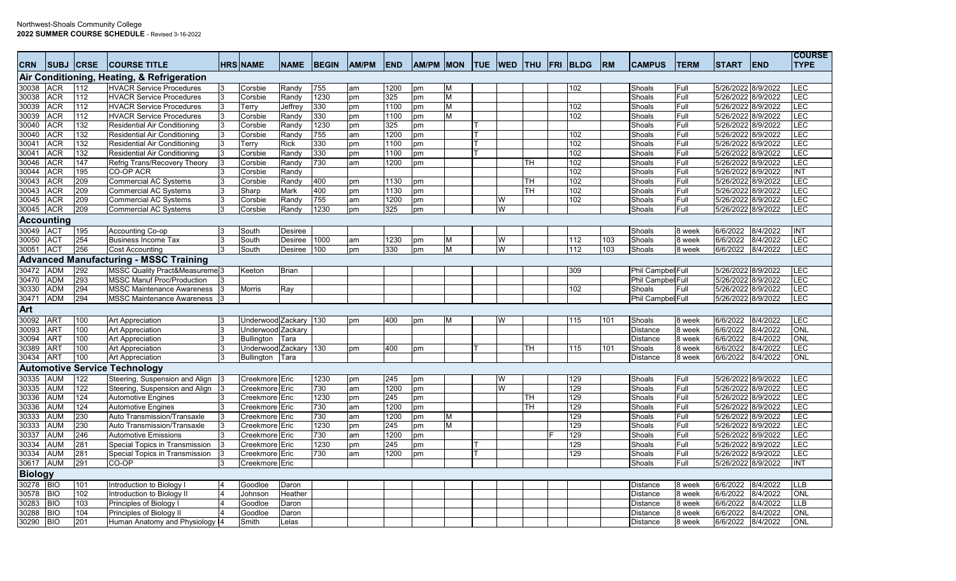| <b>CRN</b>     | <b>SUBJ</b>       | <b>CRSE</b> | <b>COURSE TITLE</b>                           | <b>HRS NAME</b>       | <b>NAME</b>    | <b>BEGIN</b> | <b>AM/PM</b> | <b>END</b> | AM/PM MON |           | <b>TUE</b> | <b>WED</b> | <b>THU</b> | <b>FRI BLDG</b> | <b>RM</b> | <b>CAMPUS</b>     | <b>TERM</b> | <b>START</b>       | <b>END</b> | <b>COURSE</b><br><b>TYPE</b> |
|----------------|-------------------|-------------|-----------------------------------------------|-----------------------|----------------|--------------|--------------|------------|-----------|-----------|------------|------------|------------|-----------------|-----------|-------------------|-------------|--------------------|------------|------------------------------|
|                |                   |             | Air Conditioning, Heating, & Refrigeration    |                       |                |              |              |            |           |           |            |            |            |                 |           |                   |             |                    |            |                              |
| 30038          | <b>ACR</b>        | 112         | <b>HVACR Service Procedures</b>               | Corsbie               | Randy          | 755          | am           | 1200       | pm        | M         |            |            |            | 102             |           | Shoals            | Full        | 5/26/2022 8/9/2022 |            | LEC                          |
| 30038          | ACR               | 112         | <b>HVACR Service Procedures</b>               | Corsbie               | Randy          | 1230         | pm           | 325        | pm        | ${\sf M}$ |            |            |            |                 |           | Shoals            | Full        | 5/26/2022 8/9/2022 |            | LEC                          |
| 30039          | <b>ACR</b>        | 112         | <b>HVACR Service Procedures</b>               | Terry                 | Jeffrey        | 330          | pm           | 1100       | pm        | M         |            |            |            | 102             |           | Shoals            | Full        | 5/26/2022 8/9/2022 |            | LEC                          |
| 30039          | <b>ACR</b>        | 112         | <b>HVACR Service Procedures</b>               | Corsbie               | Randy          | 330          | pm           | 1100       | pm        | M         |            |            |            | 102             |           | Shoals            | Full        | 5/26/2022 8/9/2022 |            | LEC                          |
| 30040          | <b>ACR</b>        | 132         | Residential Air Conditioning                  | Corsbie               | Randy          | 1230         | pm           | 325        | pm        |           |            |            |            |                 |           | Shoals            | Full        | 5/26/2022 8/9/2022 |            | LEC                          |
| 30040          | <b>ACR</b>        | 132         | Residential Air Conditioning                  | Corsbie               | Randy          | 755          | am           | 1200       | pm        |           |            |            |            | 102             |           | Shoals            | Full        | 5/26/2022          | 8/9/2022   | LEC                          |
| 30041          | <b>ACR</b>        | 132         | Residential Air Conditioning                  | Terry                 | <b>Rick</b>    | 330          | pm           | 1100       | pm        |           |            |            |            | 102             |           | Shoals            | Full        | 5/26/2022 8/9/2022 |            | LEC                          |
| 30041          | <b>ACR</b>        | 132         | <b>Residential Air Conditioning</b>           | Corsbie               | Randy          | 330          | pm           | 1100       | pm        |           |            |            |            | 102             |           | Shoals            | Full        | 5/26/2022 8/9/2022 |            | LEC                          |
| 30046          | <b>ACR</b>        | 147         | Refrig Trans/Recovery Theory                  | Corsbie               | Randy          | 730          | am           | 1200       | pm        |           |            |            | TH         | 102             |           | Shoals            | Full        | 5/26/2022 8/9/2022 |            | LEC                          |
| 30044          | <b>ACR</b>        | 195         | CO-OP ACR                                     | Corsbie               | Randy          |              |              |            |           |           |            |            |            | 102             |           | Shoals            | Full        | 5/26/2022 8/9/2022 |            | <b>INT</b>                   |
| 30043          | <b>ACR</b>        | 209         | <b>Commercial AC Systems</b>                  | Corsbie               | Randy          | 400          | pm           | 1130       | pm        |           |            |            | TH         | 102             |           | Shoals            | Full        | 5/26/2022 8/9/2022 |            | LEC                          |
| 30043          | <b>ACR</b>        | 209         | <b>Commercial AC Systems</b>                  | Sharp                 | Mark           | 400          | pm           | 1130       | pm        |           |            |            | TН         | 102             |           | Shoals            | Full        | 5/26/2022          | 8/9/2022   | LEC                          |
| 30045          | <b>ACR</b>        | 209         | <b>Commercial AC Systems</b>                  | Corsbie               | Randy          | 755          | am           | 1200       | pm        |           |            | W          |            | 102             |           | Shoals            | Full        | 5/26/2022 8/9/2022 |            | LEC                          |
| 30045          | <b>ACR</b>        | 209         | <b>Commercial AC Systems</b>                  | Corsbie               | Randy          | 1230         | pm           | 325        | pm        |           |            | W          |            |                 |           | Shoals            | Full        | 5/26/2022 8/9/2022 |            | LEC                          |
|                | <b>Accounting</b> |             |                                               |                       |                |              |              |            |           |           |            |            |            |                 |           |                   |             |                    |            |                              |
| 30049          | <b>ACT</b>        | 195         | Accounting Co-op                              | South                 | <b>Desiree</b> |              |              |            |           |           |            |            |            |                 |           | Shoals            | 8 week      | 6/6/2022           | 8/4/2022   | INT                          |
| 30050          | AC <sub>T</sub>   | 254         | <b>Business Income Tax</b>                    | South                 | Desiree        | 1000         | am           | 1230       | pm        | M         |            | W          |            | 112             | 103       | Shoals            | 8 week      | 6/6/2022           | 8/4/2022   | LEC                          |
| 30051          | AC <sub>T</sub>   | 256         | <b>Cost Accounting</b>                        | South                 | Desiree        | 100          | pm           | 330        | pm        | M         |            | W          |            | 112             | 103       | Shoals            | 8 week      | 6/6/2022           | 8/4/2022   | LEC                          |
|                |                   |             | <b>Advanced Manufacturing - MSSC Training</b> |                       |                |              |              |            |           |           |            |            |            |                 |           |                   |             |                    |            |                              |
| 30472          | <b>ADM</b>        | 292         | MSSC Quality Pract&Measureme <sup>3</sup>     | Keeton                | <b>Brian</b>   |              |              |            |           |           |            |            |            | 309             |           | Phil Campbel Full |             | 5/26/2022          | 8/9/2022   | LEC                          |
| 30470          | <b>ADM</b>        | 293         | <b>MSSC Manuf Proc/Production</b>             |                       |                |              |              |            |           |           |            |            |            |                 |           | Phil Campbel Full |             | 5/26/2022          | 8/9/2022   | LEC                          |
| 30330          | ADM               | 294         | <b>MSSC Maintenance Awareness</b>             | Morris                | Ray            |              |              |            |           |           |            |            |            | 102             |           | Shoals            | Full        | 5/26/2022 8/9/2022 |            | LEC                          |
| 30471          | <b>ADM</b>        | 294         | <b>MSSC Maintenance Awareness</b>             |                       |                |              |              |            |           |           |            |            |            |                 |           | Phil Campbel Full |             | 5/26/2022 8/9/2022 |            | LEC                          |
| Art            |                   |             |                                               |                       |                |              |              |            |           |           |            |            |            |                 |           |                   |             |                    |            |                              |
| 30092          | <b>ART</b>        | 100         | Art Appreciation                              | Underwood Zackary     |                | 130          | pm           | 400        | pm        | M         |            | W          |            | 115             | 101       | Shoals            | 8 week      | 6/6/2022           | 8/4/2022   | LEC                          |
| 30093          | <b>ART</b>        | 100         | <b>Art Appreciation</b>                       | Underwood             | Zackary        |              |              |            |           |           |            |            |            |                 |           | <b>Distance</b>   | 8 week      | 6/6/2022           | 8/4/2022   | ONL                          |
| 30094          | <b>ART</b>        | 100         | <b>Art Appreciation</b>                       | <b>Bullington</b>     | Tara           |              |              |            |           |           |            |            |            |                 |           | <b>Distance</b>   | 8 week      | 6/6/2022           | 8/4/2022   | ONL                          |
| 30389          | AR <sub>1</sub>   | 100         | Art Appreciation                              | Underwood Zackary 130 |                |              | pm           | 400        | pm        |           |            |            | TH         | 115             | 101       | Shoals            | 8 week      | 6/6/2022           | 8/4/2022   | <b>LEC</b>                   |
| 30434          | <b>ART</b>        | 100         | Art Appreciation                              | <b>Bullington</b>     | Tara           |              |              |            |           |           |            |            |            |                 |           | <b>Distance</b>   | 8 week      | 6/6/2022           | 8/4/2022   | ONL                          |
|                |                   |             | <b>Automotive Service Technology</b>          |                       |                |              |              |            |           |           |            |            |            |                 |           |                   |             |                    |            |                              |
| 30335          | AUM               | 122         | Steering, Suspension and Align                | Creekmore Eric        |                | 1230         | pm           | 245        | pm        |           |            | W          |            | 129             |           | Shoals            | Full        | 5/26/2022 8/9/2022 |            | LEC                          |
| 30335          | <b>AUM</b>        | 122         | Steering, Suspension and Align                | Creekmore Eric        |                | 730          | am           | 1200       | pm        |           |            | W          |            | 129             |           | Shoals            | Full        | 5/26/2022 8/9/2022 |            | LEC                          |
| 30336          | <b>AUM</b>        | 124         | <b>Automotive Engines</b>                     | Creekmore Eric        |                | 1230         | pm           | 245        | pm        |           |            |            | lтн        | 129             |           | Shoals            | Full        | 5/26/2022 8/9/2022 |            | LEC                          |
| 30336          | <b>AUM</b>        | 124         | <b>Automotive Engines</b>                     | Creekmore Eric        |                | 730          | am           | 1200       | pm        |           |            |            | TH         | 129             |           | Shoals            | Full        | 5/26/2022 8/9/2022 |            | LEC                          |
| 30333          | <b>AUM</b>        | 230         | Auto Transmission/Transaxle                   | Creekmore Eric        |                | 730          | am           | 1200       | pm        | M         |            |            |            | 129             |           | Shoals            | Full        | 5/26/2022 8/9/2022 |            | LEC                          |
| 30333          | <b>AUM</b>        | 230         | Auto Transmission/Transaxle                   | Creekmore Eric        |                | 1230         | pm           | 245        | pm        | M         |            |            |            | 129             |           | Shoals            | Full        | 5/26/2022 8/9/2022 |            | LEC                          |
| 30337          | <b>AUM</b>        | 246         | <b>Automotive Emissions</b>                   | Creekmore Eric        |                | 730          | am           | 1200       | pm        |           |            |            |            | 129             |           | Shoals            | Full        | 5/26/2022 8/9/2022 |            | LEC                          |
| 30334          | <b>AUM</b>        | 281         | Special Topics in Transmission                | Creekmore Eric        |                | 1230         | pm           | 245        | pm        |           |            |            |            | 129             |           | Shoals            | Full        | 5/26/2022 8/9/2022 |            | LEC                          |
| 30334          | <b>AUM</b>        | 281         | Special Topics in Transmission                | Creekmore Eric        |                | 730          | am           | 1200       | pm        |           |            |            |            | 129             |           | Shoals            | Full        | 5/26/2022 8/9/2022 |            | LEC                          |
| 30617          | <b>AUM</b>        | 291         | CO-OP                                         | Creekmore Eric        |                |              |              |            |           |           |            |            |            |                 |           | Shoals            | Full        | 5/26/2022 8/9/2022 |            | <b>INT</b>                   |
| <b>Biology</b> |                   |             |                                               |                       |                |              |              |            |           |           |            |            |            |                 |           |                   |             |                    |            |                              |
| 30278          | <b>BIO</b>        | 101         | Introduction to Biology I                     | Goodloe               | Daron          |              |              |            |           |           |            |            |            |                 |           | Distance          | 8 week      | 6/6/2022           | 8/4/2022   | <b>LLB</b>                   |
| 30578          | <b>BIO</b>        | 102         | Introduction to Biology II                    | Johnson               | Heather        |              |              |            |           |           |            |            |            |                 |           | <b>Distance</b>   | 8 week      | 6/6/2022           | 8/4/2022   | <b>ONL</b>                   |
| 30283          | <b>BIO</b>        | 103         | Principles of Biology                         | Goodloe               | Daron          |              |              |            |           |           |            |            |            |                 |           | <b>Distance</b>   | 8 week      | 6/6/2022           | 8/4/2022   | <b>LLB</b>                   |
| 30288          | <b>BIO</b>        | 104         | Principles of Biology II                      | Goodloe               | Daron          |              |              |            |           |           |            |            |            |                 |           | <b>Distance</b>   | 8 week      | 6/6/2022           | 8/4/2022   | <b>ONL</b>                   |
| 30290          | <b>BIO</b>        | 201         | Human Anatomy and Physiology 14               | Smith                 | Lelas          |              |              |            |           |           |            |            |            |                 |           | <b>Distance</b>   | 8 week      | 6/6/2022           | 8/4/2022   | <b>ONL</b>                   |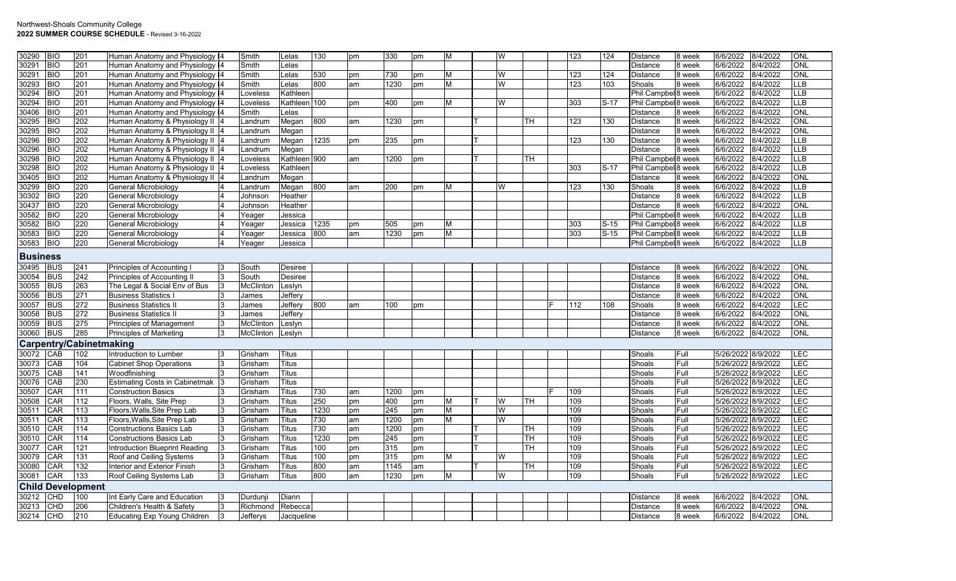| 30290           | <b>BIO</b> | 201                            | Human Anatomy and Physiology 4        |    | Smith            | Lelas           | 130  | pm | 330  | pm | М | W |    | 123        | 124    | Distance                       | 8 week | 6/6/2022           | 8/4/2022 | ONL        |
|-----------------|------------|--------------------------------|---------------------------------------|----|------------------|-----------------|------|----|------|----|---|---|----|------------|--------|--------------------------------|--------|--------------------|----------|------------|
| 30291           | <b>BIO</b> |                                |                                       |    |                  |                 |      |    |      |    |   |   |    |            |        |                                |        | 6/6/2022           |          | ONL        |
|                 |            | 201                            | Human Anatomy and Physiology 14       |    | Smith            | Lelas           |      |    |      |    |   |   |    |            |        | Distance                       | 8 week |                    | 8/4/2022 | <b>ONL</b> |
| 30291           | <b>BIO</b> | 201                            | Human Anatomy and Physiology 14       |    | Smith            | Lelas           | 530  | pm | 730  | pm | М | W |    | 123        | 124    | Distance                       | 8 week | 6/6/2022           | 8/4/2022 |            |
| 30293           | <b>BIO</b> | 201                            | Human Anatomy and Physiology 14       |    | Smith            | Lelas           | 800  | am | 1230 | pm | М | W |    | 123        | 103    | Shoals                         | 8 week | 6/6/2022           | 8/4/2022 | ЦB         |
| 30294           | <b>BIO</b> | 201                            | Human Anatomy and Physiology 14       |    | Loveless         | <b>Kathleen</b> |      |    |      |    |   |   |    |            |        | Phil Campbel 8 week            |        | 6/6/2022           | 8/4/2022 | LLB        |
| 30294           | <b>BIO</b> | 201                            | Human Anatomy and Physiology 14       |    | Loveless         | Kathleen 100    |      | pm | 400  | pm | M | W |    | 303        | $S-17$ | Phil Campbel <sup>8</sup> week |        | 6/6/2022           | 8/4/2022 | <b>LLB</b> |
| 30406           | <b>BIO</b> | 201                            | Human Anatomy and Physiology 14       |    | Smith            | Lelas           |      |    |      |    |   |   |    |            |        | Distance                       | 8 week | 6/6/2022           | 8/4/2022 | ONL        |
| 30295           | <b>BIO</b> | 202                            | Human Anatomy & Physiology II 4       |    | Landrum          | Megan           | 800  | am | 1230 | pm |   |   | тн | 123        | 130    | Distance                       | 8 week | 6/6/2022           | 8/4/2022 | ONL        |
| 30295           | <b>BIO</b> | 202                            | Human Anatomy & Physiology II 4       |    | Landrum          | Megan           |      |    |      |    |   |   |    |            |        | <b>Distance</b>                | 8 week | 6/6/2022           | 8/4/2022 | ONL        |
| 30296           | <b>BIO</b> | 202                            | Human Anatomy & Physiology II 4       |    | _andrum          | Megan           | 1235 | pm | 235  | pm |   |   |    | 123        | 130    | Distance                       | 8 week | 6/6/2022           | 8/4/2022 | <b>LLB</b> |
| 30296           | <b>BIO</b> | 202                            | Human Anatomy & Physiology II 4       |    | Landrum          | Megan           |      |    |      |    |   |   |    |            |        | Distance                       | 8 week | 6/6/2022           | 8/4/2022 | LLB        |
| 30298           | <b>BIO</b> | 202                            | Human Anatomy & Physiology II 4       |    | _oveless         | Kathleen 900    |      | am | 1200 | pm |   |   | TН |            |        | Phil Campbel 8 week            |        | 6/6/2022           | 8/4/2022 | <b>LLB</b> |
| 30298           | BIO        | 202                            | Human Anatomy & Physiology II 4       |    | Loveless         | Kathleen        |      |    |      |    |   |   |    | 303        | $S-17$ | Phil Campbel <sup>8</sup> week |        | 6/6/2022           | 8/4/2022 | <b>LLB</b> |
| 30405           | <b>BIO</b> | 202                            | Human Anatomy & Physiology II 4       |    | Landrum          | Megan           |      |    |      |    |   |   |    |            |        | Distance                       | 8 week | 6/6/2022           | 8/4/2022 | ONL        |
| 30299           | <b>BIO</b> | 220                            | General Microbiology                  |    | Landrum          | Megan           | 800  | am | 200  | pm | м | W |    | 123        | 130    | Shoals                         | 8 week | 6/6/2022           | 8/4/2022 | LLB        |
| 30302           | <b>BIO</b> | 220                            | General Microbiology                  | 4  | Johnson          | Heather         |      |    |      |    |   |   |    |            |        | Distance                       | 8 week | 6/6/2022           | 8/4/2022 | <b>LLB</b> |
| 30437           | <b>BIO</b> | 220                            | General Microbiology                  |    | Johnson          | Heather         |      |    |      |    |   |   |    |            |        | Distance                       | 8 week | 6/6/2022           | 8/4/2022 | ONL        |
| 30582           | <b>BIO</b> | 220                            | General Microbiology                  |    | Yeager           | Jessica         |      |    |      |    |   |   |    |            |        | Phil Campbel 8 week            |        | 6/6/2022           | 8/4/2022 | <b>LLB</b> |
| 30582           | <b>BIO</b> | 220                            | General Microbiology                  |    | Yeager           | Jessica         | 1235 | pm | 505  | pm | м |   |    | 303        | $S-15$ | Phil Campbel 8 week            |        | 6/6/2022           | 8/4/2022 | LB         |
| 30583           | <b>BIO</b> | 220                            | General Microbiology                  |    | Yeager           | Jessica         | 800  | am | 1230 | pm | М |   |    | 303        | $S-15$ | Phil Campbel 8 week            |        | 6/6/2022           | 8/4/2022 | LLB        |
| 30583           | <b>BIO</b> | 220                            | General Microbiology                  |    | Yeager           | Jessica         |      |    |      |    |   |   |    |            |        | Phil Campbel <sup>8</sup> week |        | 6/6/2022           | 8/4/2022 | <b>LLB</b> |
| <b>Business</b> |            |                                |                                       |    |                  |                 |      |    |      |    |   |   |    |            |        |                                |        |                    |          |            |
| 30495           | <b>BUS</b> | 241                            | Principles of Accounting I            |    | South            | Desiree         |      |    |      |    |   |   |    |            |        | Distance                       | 8 week | 6/6/2022           | 8/4/2022 | ONL        |
| 30054           | <b>BUS</b> | 242                            | Principles of Accounting II           |    | South            | Desiree         |      |    |      |    |   |   |    |            |        | Distance                       | 8 week | 6/6/2022           | 8/4/2022 | ONL        |
| 30055           | <b>BUS</b> | 263                            | The Legal & Social Env of Bus         |    | McClinton        | Leslyn          |      |    |      |    |   |   |    |            |        | Distance                       | 8 week | 6/6/2022           | 8/4/2022 | ONL        |
| 30056           | <b>BUS</b> | 271                            | <b>Business Statistics I</b>          | 3  | James            | Jeffery         |      |    |      |    |   |   |    |            |        | Distance                       | 8 week | 6/6/2022           | 8/4/2022 | ONL        |
| 30057           | <b>BUS</b> | 272                            | <b>Business Statistics II</b>         | 3  | James            | Jeffery         | 800  | am | 100  | pm |   |   |    | 112        | 108    | Shoals                         | 8 week | 6/6/2022           | 8/4/2022 | LEC        |
| 30058           | <b>BUS</b> | 272                            | <b>Business Statistics II</b>         |    | James            | Jeffery         |      |    |      |    |   |   |    |            |        | Distance                       | 8 week | 6/6/2022           | 8/4/2022 | ONL        |
| 30059           | <b>BUS</b> | 275                            | <b>Principles of Management</b>       | 3  | <b>McClinton</b> | Leslyn          |      |    |      |    |   |   |    |            |        | Distance                       | 8 week | 6/6/2022           | 8/4/2022 | ONL        |
| 30060           | <b>BUS</b> | 285                            | <b>Principles of Marketing</b>        | 3  | McClinton        | Leslyn          |      |    |      |    |   |   |    |            |        | Distance                       | 8 week | 6/6/2022           | 8/4/2022 | ONL        |
|                 |            | <b>Carpentry/Cabinetmaking</b> |                                       |    |                  |                 |      |    |      |    |   |   |    |            |        |                                |        |                    |          |            |
| 30072           | CAB        | 102                            | Introduction to Lumber                |    | Grisham          | <b>Titus</b>    |      |    |      |    |   |   |    |            |        | Shoals                         | Full   | 5/26/2022 8/9/2022 |          | <b>LEC</b> |
|                 | CAB        | 104                            |                                       |    |                  | <b>Titus</b>    |      |    |      |    |   |   |    |            |        |                                | Full   | 5/26/2022 8/9/2022 |          | LEC        |
| 30073           | CAB        | 141                            | <b>Cabinet Shop Operations</b>        |    | Grisham          | <b>Titus</b>    |      |    |      |    |   |   |    |            |        | Shoals                         | Full   | 5/26/2022 8/9/2022 |          | LEC        |
| 30075           |            |                                | Woodfinishing                         |    | Grisham          |                 |      |    |      |    |   |   |    |            |        | Shoals                         |        |                    |          | LEC        |
| 30076           | CAB        | 230                            | <b>Estimating Costs in Cabinetmak</b> |    | Grisham          | <b>Titus</b>    |      |    |      |    |   |   |    |            |        | Shoals                         | Full   | 5/26/2022 8/9/2022 |          | LEC        |
| 30507           | CAR        | 111                            | <b>Construction Basics</b>            |    | Grisham          | <b>Titus</b>    | 730  | am | 1200 | pm |   |   | TН | 109<br>109 |        | Shoals                         | Full   | 5/26/2022 8/9/2022 |          | <b>LEC</b> |
| 30508           | CAR        | 112                            | Floors, Walls, Site Prep              |    | Grisham          | Titus           | 250  | pm | 400  | pm | м | W |    |            |        | Shoals                         | Full   | 5/26/2022 8/9/2022 |          |            |
| 30511           | CAR        | 113                            | Floors, Walls, Site Prep Lab          | 3  | Grisham          | <b>Titus</b>    | 1230 | pm | 245  | pm | M | W |    | 109        |        | Shoals                         | Full   | 5/26/2022 8/9/2022 |          | LEC        |
| 30511           | CAR        | 113                            | Floors, Walls, Site Prep Lab          | 3  | Grisham          | <b>Titus</b>    | 730  | am | 1200 | pm | M | W |    | 109        |        | Shoals                         | Full   | 5/26/2022 8/9/2022 |          | LEC        |
| 30510           | CAR        | 114                            | <b>Constructions Basics Lab</b>       |    | Grisham          | <b>Titus</b>    | 730  | am | 1200 | pm |   |   | TН | 109        |        | Shoals                         | Full   | 5/26/2022 8/9/2022 |          | <b>LEC</b> |
| 30510           | CAR        | 114                            | <b>Constructions Basics Lab</b>       | 3  | Grisham          | <b>Titus</b>    | 1230 | pm | 245  | pm |   |   | TН | 109        |        | Shoals                         | Full   | 5/26/2022 8/9/2022 |          | LEC        |
| 30077           | CAR        | 121                            | Introduction Blueprint Reading        | 13 | Grisham          | <b>Titus</b>    | 100  | pm | 315  | pm |   |   | TН | 109        |        | Shoals                         | Full   | 5/26/2022 8/9/2022 |          | LEC        |
| 30079           | CAR        | 131                            | Roof and Ceiling Systems              | 3  | Grisham          | Titus           | 100  | pm | 315  | pm | М | W |    | 109        |        | Shoals                         | Full   | 5/26/2022 8/9/2022 |          | LEC        |
| 30080           | CAR        | 132                            | Interior and Exterior Finish          | 3  | Grisham          | Titus           | 800  | am | 1145 | am |   |   | TН | 109        |        | Shoals                         | Full   | 5/26/2022 8/9/2022 |          | LEC        |
| 30081           | CAR        | 133                            | Roof Ceiling Systems Lab              | 13 | Grisham          | <b>Titus</b>    | 800  | am | 1230 | pm | М | W |    | 109        |        | Shoals                         | Full   | 5/26/2022 8/9/2022 |          | LEC        |
|                 |            | <b>Child Development</b>       |                                       |    |                  |                 |      |    |      |    |   |   |    |            |        |                                |        |                    |          |            |
| 30212           | CHD        | 100                            | Int Early Care and Education          |    | Durdunji         | Diann           |      |    |      |    |   |   |    |            |        | Distance                       | 8 week | 6/6/2022           | 8/4/2022 | ONL        |
| 30213           | CHD        | 206                            | Children's Health & Safety            |    | Richmond         | Rebecca         |      |    |      |    |   |   |    |            |        | Distance                       | 8 week | 6/6/2022           | 8/4/2022 | ONL        |
| 30214           | CHD        | 210                            | <b>Educating Exp Young Children</b>   |    | Jefferys         | Jacqueline      |      |    |      |    |   |   |    |            |        | Distance                       | 8 week | 6/6/2022           | 8/4/2022 | <b>ONL</b> |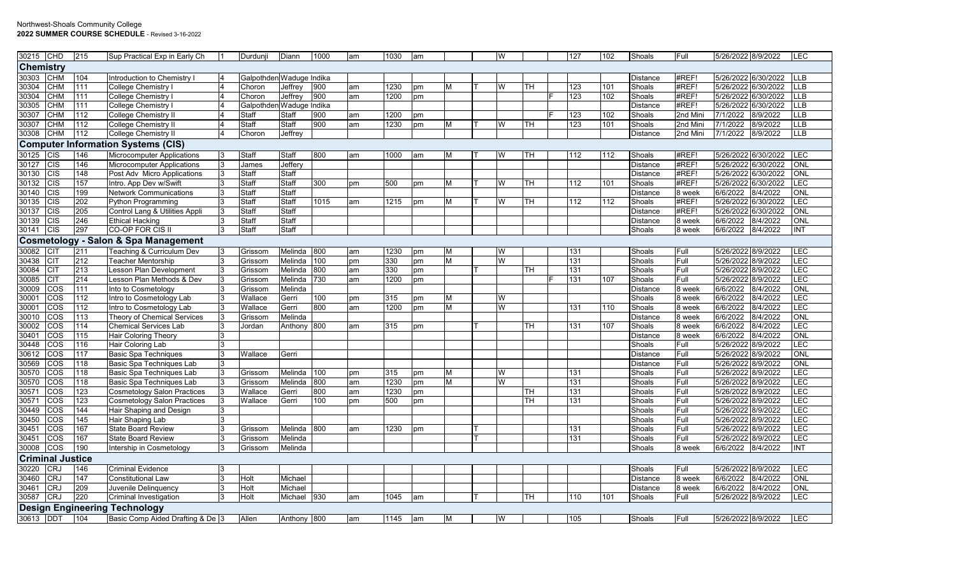| 30215            | CHD                     | 215 | Sup Practical Exp in Early Ch                   |    | Durdunji                 | Diann       | 1000 | am  | 1030 | am |          | W |    | 127 | 102 | Shoals          | Full     | 5/26/2022 8/9/2022  |                         | LEC         |
|------------------|-------------------------|-----|-------------------------------------------------|----|--------------------------|-------------|------|-----|------|----|----------|---|----|-----|-----|-----------------|----------|---------------------|-------------------------|-------------|
| <b>Chemistry</b> |                         |     |                                                 |    |                          |             |      |     |      |    |          |   |    |     |     |                 |          |                     |                         |             |
| 30303            | <b>CHM</b>              | 104 | Introduction to Chemistry I                     |    | Galpothden Waduge Indika |             |      |     |      |    |          |   |    |     |     | <b>Distance</b> | #REF!    |                     | 5/26/2022 6/30/2022 LLB |             |
| 30304            | <b>CHM</b>              | 111 | College Chemistry I                             |    | Choron                   | Jeffrey     | 900  | am  | 1230 | pm | M        | W | TН | 123 | 101 | Shoals          | #REF!    |                     | 5/26/2022 6/30/2022     | <b>ILLB</b> |
| 30304            | <b>CHM</b>              | 111 | College Chemistry                               |    | Choron                   | Jeffrey     | 900  | am  | 1200 | pm |          |   |    | 123 | 102 | Shoals          | #REF!    |                     | 5/26/2022 6/30/2022     | <b>ILLB</b> |
| 30305            | <b>CHM</b>              | 111 | <b>College Chemistry I</b>                      |    | Galpothden Waduge Indika |             |      |     |      |    |          |   |    |     |     | <b>Distance</b> | #REF!    | 5/26/2022 6/30/2022 |                         | <b>LLB</b>  |
| 30307            | <b>CHM</b>              | 112 | <b>College Chemistry II</b>                     |    | <b>Staff</b>             | Staff       | 900  | am  | 1200 | pm |          |   |    | 123 | 102 | Shoals          | 2nd Mini | 7/1/2022            | 8/9/2022                | <b>LLB</b>  |
| 30307            | <b>CHM</b>              | 112 | <b>College Chemistry II</b>                     |    | Staff                    | Staff       | 900  | am  | 1230 | pm | M        | W | TН | 123 | 101 | Shoals          | 2nd Mini | 7/1/2022            | 8/9/2022                | <b>TLB</b>  |
| 30308            | <b>CHM</b>              | 112 | College Chemistry II                            |    | Choron                   | Jeffrey     |      |     |      |    |          |   |    |     |     | <b>Distance</b> | 2nd Mini | 7/1/2022            | 8/9/2022                | <b>LLB</b>  |
|                  |                         |     | <b>Computer Information Systems (CIS)</b>       |    |                          |             |      |     |      |    |          |   |    |     |     |                 |          |                     |                         |             |
| 30125            | <b>CIS</b>              | 146 | <b>Microcomputer Applications</b>               | l3 | Staff                    | Staff       | 800  | am  | 1000 | am | M        | W | TH | 112 | 112 | Shoals          | #REF!    |                     | 5/26/2022 6/30/2022     | LEC         |
| 30127            | <b>CIS</b>              | 146 | <b>Microcomputer Applications</b>               | 3  | James                    | Jeffery     |      |     |      |    |          |   |    |     |     | Distance        | #REF!    |                     | 5/26/2022 6/30/2022     | ONL         |
| 30130            | CIS                     | 148 | Post Adv Micro Applications                     | 3  | Staff                    | Staff       |      |     |      |    |          |   |    |     |     | <b>Distance</b> | #REF!    |                     | 5/26/2022 6/30/2022     | <b>ONL</b>  |
| 30132            | <b>CIS</b>              | 157 | Intro. App Dev w/Swift                          |    | Staff                    | Staff       | 300  | pm  | 500  | pm | M        | W | TН | 112 | 101 | Shoals          | #REF!    | 5/26/2022 6/30/2022 |                         | LEC         |
| 30140            | <b>CIS</b>              | 199 | <b>Network Communications</b>                   | 3  | Staff                    | Staff       |      |     |      |    |          |   |    |     |     | <b>Distance</b> | 8 week   | 6/6/2022            | 8/4/2022                | ONL         |
| 30135            | <b>CIS</b>              | 202 | Python Programming                              |    | Staff                    | Staff       | 1015 | am  | 1215 | pm | M        | W | TН | 112 | 112 | Shoals          | #REF!    |                     | 5/26/2022 6/30/2022     | <b>LEC</b>  |
| 30137            | <b>CIS</b>              | 205 | Control Lang & Utilities Appli                  |    | Staf                     | Staff       |      |     |      |    |          |   |    |     |     | Distance        | #REF!    |                     | 5/26/2022 6/30/2022     | ONL         |
| 30139            | <b>CIS</b>              | 246 | <b>Ethical Hacking</b>                          |    | Staff                    | Staff       |      |     |      |    |          |   |    |     |     | Distance        | 8 week   | 6/6/2022            | 8/4/2022                | ONL         |
| 30141            | CIS                     | 297 | CO-OP FOR CIS II                                |    | Staff                    | Staff       |      |     |      |    |          |   |    |     |     | Shoals          | 8 week   | 6/6/2022            | 8/4/2022                | <b>INT</b>  |
|                  |                         |     | <b>Cosmetology - Salon &amp; Spa Management</b> |    |                          |             |      |     |      |    |          |   |    |     |     |                 |          |                     |                         |             |
| 30082            | <b>CIT</b>              | 211 | Teaching & Curriculum Dev                       |    | Grissom                  | Melinda 800 |      | lam | 1230 | pm | M        | W |    | 131 |     | Shoals          | Full     | 5/26/2022 8/9/2022  |                         | <b>LEC</b>  |
| 30438            | <b>CIT</b>              | 212 | Teacher Mentorship                              |    | Grissom                  | Melinda     | 100  | pm  | 330  | pm | M        | W |    | 131 |     | Shoals          | Full     | 5/26/2022 8/9/2022  |                         | LEC         |
| 30084            | <b>CIT</b>              | 213 | Lesson Plan Development                         |    | Grissom                  | Melinda     | 800  | am  | 330  | pm |          |   | TH | 131 |     | Shoals          | Full     | 5/26/2022 8/9/2022  |                         | LEC         |
| 30085            | <b>CIT</b>              | 214 | Lesson Plan Methods & Dev                       |    | Grissom                  | Melinda     | 730  | am  | 1200 | pm |          |   |    | 131 | 107 | Shoals          | Full     | 5/26/2022 8/9/2022  |                         | LEC         |
| 30009            | cos                     | 111 | Into to Cosmetology                             |    | Grissom                  | Melinda     |      |     |      |    |          |   |    |     |     | Distance        | 8 week   | 6/6/2022            | 8/4/2022                | ONL         |
| 30001            | COS                     | 112 | Intro to Cosmetology Lab                        |    | Wallace                  | Gerri       | 100  | pm  | 315  | pm | M        | W |    |     |     | Shoals          | 8 week   | 6/6/2022            | 8/4/2022                | LEC         |
| 30001            | <b>COS</b>              | 112 | Intro to Cosmetology Lab                        |    | Wallace                  | Gerri       | 800  | am  | 1200 | pm | M        | W |    | 131 | 110 | Shoals          | 8 week   | 6/6/2022            | 8/4/2022                | LEC         |
| 30010            | COS                     | 113 | Theory of Chemical Services                     |    | Grissom                  | Melinda     |      |     |      |    |          |   |    |     |     | Distance        | 8 week   | 6/6/2022            | 8/4/2022                | ONL         |
| 30002            | cos                     | 114 | <b>Chemical Services Lab</b>                    |    | Jordan                   | Anthony 800 |      | am  | 315  | pm |          |   | TH | 131 | 107 | Shoals          | 8 week   | 6/6/2022            | 8/4/2022                | <b>LEC</b>  |
| 30401            | <b>COS</b>              | 115 | <b>Hair Coloring Theory</b>                     | 3  |                          |             |      |     |      |    |          |   |    |     |     | Distance        | 8 week   | 6/6/2022            | 8/4/2022                | ONL         |
| 30448            | COS                     | 116 | Hair Coloring Lab                               | 3  |                          |             |      |     |      |    |          |   |    |     |     | Shoals          | Full     | 5/26/2022 8/9/2022  |                         | <b>LEC</b>  |
| 30612            | <b>COS</b>              | 117 | <b>Basic Spa Techniques</b>                     |    | Wallace                  | Gerri       |      |     |      |    |          |   |    |     |     | <b>Distance</b> | Full     | 5/26/2022 8/9/2022  |                         | ONL         |
| 30569            | COS                     | 118 | Basic Spa Techniques Lab                        | 3  |                          |             |      |     |      |    |          |   |    |     |     | <b>Distance</b> | Full     | 5/26/2022 8/9/2022  |                         | ONL         |
| 30570            | COS                     | 118 | Basic Spa Techniques Lab                        | 3  | Grissom                  | Melinda     | 100  | pm  | 315  | pm | M        | W |    | 131 |     | Shoals          | Full     | 5/26/2022 8/9/2022  |                         | LEC         |
| 30570            | <b>COS</b>              | 118 | Basic Spa Techniques Lab                        | 3  | Grissom                  | Melinda     | 800  | am  | 1230 | pm | M        | W |    | 131 |     | Shoals          | Full     | 5/26/2022 8/9/2022  |                         | LEC         |
| 30571            | cos                     | 123 | <b>Cosmetology Salon Practices</b>              |    | Wallace                  | Gerri       | 800  | am  | 1230 | pm |          |   | TH | 131 |     | Shoals          | Full     | 5/26/2022 8/9/2022  |                         | LEC         |
| 30571            | <b>COS</b>              | 123 | <b>Cosmetology Salon Practices</b>              |    | Wallace                  | Gerri       | 100  | pm  | 500  | pm |          |   | TH | 131 |     | Shoals          | Full     | 5/26/2022 8/9/2022  |                         | LEC         |
| 30449            | COS                     | 144 | Hair Shaping and Design                         |    |                          |             |      |     |      |    |          |   |    |     |     | Shoals          | Full     | 5/26/2022 8/9/2022  |                         | LEC         |
| 30450            | COS                     | 145 | Hair Shaping Lab                                |    |                          |             |      |     |      |    |          |   |    |     |     | Shoals          | Full     | 5/26/2022 8/9/2022  |                         | LEC         |
| 30451            | cos                     | 167 | <b>State Board Review</b>                       |    | Grissom                  | Melinda 800 |      | am  | 1230 | pm |          |   |    | 131 |     | Shoals          | Full     | 5/26/2022 8/9/2022  |                         | LEC         |
| 30451            | COS                     | 167 | <b>State Board Review</b>                       |    | Grissom                  | Melinda     |      |     |      |    |          |   |    | 131 |     | Shoals          | Full     | 5/26/2022 8/9/2022  |                         | LEC         |
| 30008            | COS                     | 190 | Intership in Cosmetology                        |    | Grissom                  | Melinda     |      |     |      |    |          |   |    |     |     | Shoals          | 8 week   | 6/6/2022            | 8/4/2022                | <b>INT</b>  |
|                  | <b>Criminal Justice</b> |     |                                                 |    |                          |             |      |     |      |    |          |   |    |     |     |                 |          |                     |                         |             |
| 30220            | <b>CRJ</b>              | 146 | <b>Criminal Evidence</b>                        | 3  |                          |             |      |     |      |    |          |   |    |     |     | Shoals          | Full     | 5/26/2022 8/9/2022  |                         | <b>LEC</b>  |
| 30460            | <b>CRJ</b>              | 147 | <b>Constitutional Law</b>                       | 3  | Holt                     | Michael     |      |     |      |    |          |   |    |     |     | Distance        | 8 week   | 6/6/2022            | 8/4/2022                | ONL         |
| 30461            | <b>CRJ</b>              | 209 | Juvenile Delinguency                            | 3  | Holt                     | Michael     |      |     |      |    |          |   |    |     |     | Distance        | 8 week   | 6/6/2022            | 8/4/2022                | ONL         |
| 30587            | <b>CRJ</b>              | 220 | Criminal Investigation                          |    | Holt                     | Michael 930 |      | am  | 1045 | am |          |   | TН | 110 | 101 | Shoals          | Full     | 5/26/2022 8/9/2022  |                         | LEC         |
|                  |                         |     | <b>Design Engineering Technology</b>            |    |                          |             |      |     |      |    |          |   |    |     |     |                 |          |                     |                         |             |
| 30613 DDT        |                         | 104 | Basic Comp Aided Drafting & De 3                |    | Allen                    | Anthony 800 |      | am  | 1145 | am | <b>M</b> | W |    | 105 |     | Shoals          | Full     | 5/26/2022 8/9/2022  |                         | <b>LEC</b>  |
|                  |                         |     |                                                 |    |                          |             |      |     |      |    |          |   |    |     |     |                 |          |                     |                         |             |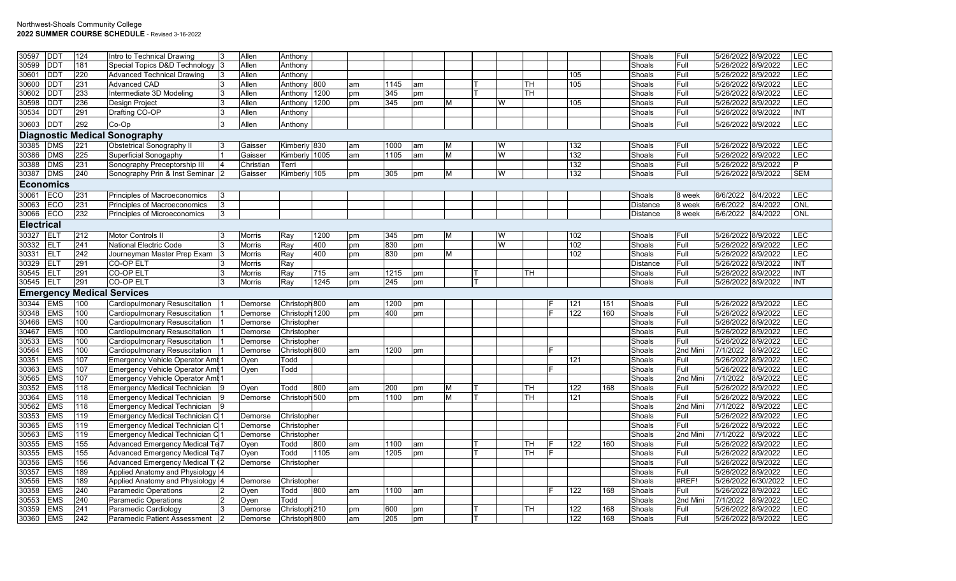| 30597             | DDT                      | 124        | Intro to Technical Drawing                           |                | Allen              | Anthony                        |      |    |            |    |   |   |    |    |            |            | Shoals           | Full         | 5/26/2022 8/9/2022                       | LEC               |
|-------------------|--------------------------|------------|------------------------------------------------------|----------------|--------------------|--------------------------------|------|----|------------|----|---|---|----|----|------------|------------|------------------|--------------|------------------------------------------|-------------------|
| 30599             | DDT                      | 181        | Special Topics D&D Technology 3                      |                | Allen              | Anthony                        |      |    |            |    |   |   |    |    |            |            | Shoals           | Full         | 5/26/2022 8/9/2022                       | LEC               |
| 30601             | <b>DDT</b>               | 220        | <b>Advanced Technical Drawing</b>                    |                | Allen              | Anthony                        |      |    |            |    |   |   |    |    | 105        |            | Shoals           | Full         | 5/26/2022 8/9/2022                       | LEC               |
| 30600             | <b>DDT</b>               | 231        | <b>Advanced CAD</b>                                  |                | Allen              | Anthony 800                    |      | am | 1145       | am |   |   | TН |    | 105        |            | Shoals           | Full         | 5/26/2022 8/9/2022                       | LEC               |
| 30602             | DDT                      | 233        | Intermediate 3D Modeling                             | <sup>3</sup>   | Allen              | Anthony 1200                   |      | pm | 345        | pm |   |   | TН |    |            |            | Shoals           | Full         | 5/26/2022 8/9/2022                       | <b>LEC</b>        |
| 30598             | DD1                      | 236        | <b>Design Project</b>                                | 13             | Allen              | Anthony                        | 1200 | pm | 345        | pm | М | W |    |    | 105        |            | Shoals           | Full         | 5/26/2022 8/9/2022                       | LEC               |
| 30534             | DDT                      | 291        | Drafting CO-OP                                       | <sup>3</sup>   | Allen              | Anthony                        |      |    |            |    |   |   |    |    |            |            | Shoals           | Full         | 5/26/2022 8/9/2022                       | INT               |
| 30603             | <b>DDT</b>               | 292        | Co-Op                                                |                | Allen              | Anthony                        |      |    |            |    |   |   |    |    |            |            | Shoals           | Full         | 5/26/2022 8/9/2022                       | LEC               |
|                   |                          |            | <b>Diagnostic Medical Sonography</b>                 |                |                    |                                |      |    |            |    |   |   |    |    |            |            |                  |              |                                          |                   |
| 30385             | <b>DMS</b>               | 221        | <b>Obstetrical Sonography II</b>                     |                | Gaisser            | Kimberly 830                   |      | am | 1000       | am | М | W |    |    | 132        |            | Shoals           | Full         | 5/26/2022 8/9/2022                       | <b>LEC</b>        |
| 30386             | <b>DMS</b>               | 225        | Superficial Sonogaphy                                |                | Gaisser            | Kimberly 1005                  |      | am | 1105       | am | М | W |    |    | 132        |            | Shoals           | Full         | 5/26/2022 8/9/2022                       | <b>LEC</b>        |
| 30388             | <b>DMS</b>               | 231        | Sonography Preceptorship III                         | $\overline{4}$ | Christian          | Terri                          |      |    |            |    |   |   |    |    | 132        |            | Shoals           | Full         | 5/26/2022 8/9/2022                       | P                 |
| 30387             | <b>DMS</b>               | 240        | Sonography Prin & Inst Seminar 2                     |                | Gaisser            | Kimberly 105                   |      | pm | 305        | pm | М | W |    |    | 132        |            | Shoals           | Full         | 5/26/2022 8/9/2022                       | <b>SEM</b>        |
| <b>Economics</b>  |                          |            |                                                      |                |                    |                                |      |    |            |    |   |   |    |    |            |            |                  |              |                                          |                   |
| 30061             | ECO                      | 231        | Principles of Macroeconomics                         |                |                    |                                |      |    |            |    |   |   |    |    |            |            | Shoals           | 8 week       | 6/6/2022<br>8/4/2022                     | <b>LEC</b>        |
| 30063             | ECO                      | 231        | Principles of Macroeconomics                         |                |                    |                                |      |    |            |    |   |   |    |    |            |            | <b>Distance</b>  | 8 week       | 6/6/2022<br>8/4/2022                     | <b>ONL</b>        |
| 30066             | ECO                      | 232        | Principles of Microeconomics                         | Ι3             |                    |                                |      |    |            |    |   |   |    |    |            |            | <b>Distance</b>  | 8 week       | 6/6/2022<br>8/4/2022                     | ONL               |
| <b>Electrical</b> |                          |            |                                                      |                |                    |                                |      |    |            |    |   |   |    |    |            |            |                  |              |                                          |                   |
| 30327             | <b>ELT</b>               | 212        | <b>Motor Controls II</b>                             |                | <b>Morris</b>      | Ray                            | 1200 | pm | 345        | pm | м | W |    |    | 102        |            | Shoals           | Full         | 5/26/2022 8/9/2022                       | <b>LEC</b>        |
| 30332             | <b>ELT</b>               | 241        | <b>National Electric Code</b>                        |                | <b>Morris</b>      | Ray                            | 400  | pm | 830        | pm |   | W |    |    | 102        |            | Shoals           | Full         | 5/26/2022 8/9/2022                       | LEC               |
| 30331             | ELT                      | 242        | Journeyman Master Prep Exam                          |                | Morris             | Ray                            | 400  | pm | 830        | pm | М |   |    |    | 102        |            | Shoals           | Full         | 5/26/2022 8/9/2022                       | <b>LEC</b>        |
| 30329             | ELT                      | 291        | <b>CO-OP ELT</b>                                     |                | <b>Morris</b>      | Ray                            |      |    |            |    |   |   |    |    |            |            | <b>Distance</b>  | Full         | 5/26/2022 8/9/2022                       | <b>INT</b>        |
| 30545             | <b>ELT</b>               | 291        | <b>CO-OP ELT</b>                                     | <sup>3</sup>   | <b>Morris</b>      | Ray                            | 715  | am | 1215       | pm |   |   | TН |    |            |            | Shoals           | Full         | 5/26/2022 8/9/2022                       | <b>INT</b>        |
| 30545             | <b>ELT</b>               | 291        | <b>CO-OP ELT</b>                                     | <sup>3</sup>   | Morris             | Ray                            | 1245 |    | 245        |    |   |   |    |    |            |            | Shoals           | Full         | 5/26/2022 8/9/2022                       | INT               |
|                   |                          |            |                                                      |                |                    |                                |      | pm |            | pm |   |   |    |    |            |            |                  |              |                                          |                   |
|                   |                          |            | <b>Emergency Medical Services</b>                    |                |                    |                                |      |    |            |    |   |   |    |    |            |            |                  |              |                                          |                   |
| 30344             | <b>EMS</b>               | 100        | Cardiopulmonary Resuscitation                        |                | Demorse            | Christoph 800                  |      | am | 1200       | pm |   |   |    |    | 121        | 151        | Shoals           | Full         | 5/26/2022 8/9/2022                       | <b>LEC</b>        |
| 30348             | <b>EMS</b>               | 100        | Cardiopulmonary Resuscitation                        |                | Demorse            | Christoph 1200                 |      | pm | 400        | pm |   |   |    |    | 122        | 160        | Shoals           | Full         | 5/26/2022 8/9/2022                       | LEC               |
| 30466             | <b>EMS</b>               | 100        | Cardiopulmonary Resuscitation                        |                | Demorse            | Christopher                    |      |    |            |    |   |   |    |    |            |            | Shoals           | Full         | 5/26/2022 8/9/2022                       | LEC               |
| 30467             | <b>EMS</b>               | 100        | Cardiopulmonary Resuscitation                        |                | Demorse            | Christopher                    |      |    |            |    |   |   |    |    |            |            | Shoals           | Full         | 5/26/2022 8/9/2022                       | LEC               |
| 30533             | <b>EMS</b>               | 100        | Cardiopulmonary Resuscitation                        |                | Demorse            | Christopher                    |      |    |            |    |   |   |    |    |            |            | Shoals           | Full         | 5/26/2022 8/9/2022                       | <b>LEC</b>        |
| 30564             | <b>EMS</b>               | 100        | Cardiopulmonary Resuscitation                        |                | Demorse            | Christoph 800                  |      | am | 1200       | pm |   |   |    |    |            |            | Shoals           | 2nd Mini     | 7/1/2022<br>8/9/2022                     | LEC               |
| 30351             | <b>EMS</b>               | 107        | Emergency Vehicle Operator Ami                       |                | Oven               | Todd                           |      |    |            |    |   |   |    |    | 121        |            | Shoals           | Full         | 5/26/2022 8/9/2022                       | LEC               |
| 30363             | <b>EMS</b>               | 107        | Emergency Vehicle Operator Ami                       |                | Oven               | Todd                           |      |    |            |    |   |   |    |    |            |            | Shoals           | Full         | 5/26/2022 8/9/2022                       | LEC               |
| 30565             | <b>EMS</b>               | 107        | Emergency Vehicle Operator Ami                       |                |                    |                                |      |    |            |    |   |   |    |    |            |            | Shoals           | 2nd Mini     | 7/1/2022<br>8/9/2022                     | LEC               |
| 30352             | <b>EMS</b>               | 118        | <b>Emergency Medical Technician</b>                  |                | Oven               | Todd                           | 800  | am | 200        | pm | М |   | TН |    | 122        | 168        | Shoals           | Full         | 5/26/2022 8/9/2022                       | LEC               |
| 30364             | <b>EMS</b>               | 118        | <b>Emergency Medical Technician</b>                  |                | Demorse            | Christoph 500                  |      | pm | 1100       | pm | М |   | TН |    | 121        |            | Shoals           | Full         | 5/26/2022 8/9/2022                       | LEC               |
| 30562             | <b>EMS</b>               | 118        | <b>Emergency Medical Technician</b>                  |                |                    |                                |      |    |            |    |   |   |    |    |            |            | Shoals           | 2nd Mini     | 7/1/2022<br>8/9/2022                     | <b>LEC</b>        |
| 30353             | <b>EMS</b>               | 119        | Emergency Medical Technician C                       |                | Demorse            | Christopher                    |      |    |            |    |   |   |    |    |            |            | Shoals           | Full         | 5/26/2022 8/9/2022                       | <b>LEC</b>        |
| 30365             | <b>EMS</b>               | 119        | <b>Emergency Medical Technician C</b>                |                | Demorse            | Christopher                    |      |    |            |    |   |   |    |    |            |            | Shoals           | Full         | 5/26/2022 8/9/2022                       | <b>LEC</b>        |
| 30563             | <b>EMS</b>               | 119        | Emergency Medical Technician C                       |                | Demorse            | Christopher                    |      |    |            |    |   |   |    |    |            |            | Shoals           | 2nd Mini     | 7/1/2022<br>8/9/2022                     | <b>LEC</b>        |
| 30355             | <b>EMS</b>               | 155        | Advanced Emergency Medical Te                        |                | Oyen               | Todd                           | 800  | am | 1100       | am |   |   | TН | F  | 122        | 160        | Shoals           | Full         | 5/26/2022 8/9/2022                       | <b>LEC</b>        |
| 30355             | <b>EMS</b>               | 155        | Advanced Emergency Medical Te                        |                | Oven               | Todd                           | 1105 | am | 1205       | pm |   |   | TН | IF |            |            | Shoals           | Full         | 5/26/2022 8/9/2022                       | <b>LEC</b>        |
| 30356             | <b>EMS</b>               | 156        | Advanced Emergency Medical T (2)                     |                | Demorse            | Christopher                    |      |    |            |    |   |   |    |    |            |            | Shoals           | Full         | 5/26/2022 8/9/2022                       | LEC               |
| 30357             | <b>EMS</b>               | 189        | Applied Anatomy and Physiology 4                     |                |                    |                                |      |    |            |    |   |   |    |    |            |            | Shoals           | Full         | 5/26/2022 8/9/2022                       | LEC               |
| 30556             | <b>EMS</b>               | 189        | Applied Anatomy and Physiology 4                     |                | Demorse            | Christopher                    |      |    |            |    |   |   |    |    |            |            | Shoals           | #REF!        | 5/26/2022 6/30/2022                      | LEC               |
| 30358             | <b>EMS</b>               | 240        | <b>Paramedic Operations</b>                          |                | Oyen               | Todd                           | 800  | am | 1100       | am |   |   |    |    | 122        | 168        | Shoals           | Full         | 5/26/2022 8/9/2022                       | LEC               |
| 30553             | EMS                      | 240        | <b>Paramedic Operations</b>                          |                | Oven               | Todd                           |      |    |            |    |   |   |    |    |            |            | Shoals           | 2nd Mini     | 7/1/2022<br>8/9/2022                     | <b>LEC</b>        |
| 30359<br>30360    | <b>EMS</b><br><b>EMS</b> | 241<br>242 | Paramedic Cardiology<br>Paramedic Patient Assessment | $\vert$ 2      | Demorse<br>Demorse | Christoph 210<br>Christoph 800 |      | pm | 600<br>205 | pm |   |   | TН |    | 122<br>122 | 168<br>168 | Shoals<br>Shoals | Full<br>Full | 5/26/2022 8/9/2022<br>5/26/2022 8/9/2022 | <b>LEC</b><br>LEC |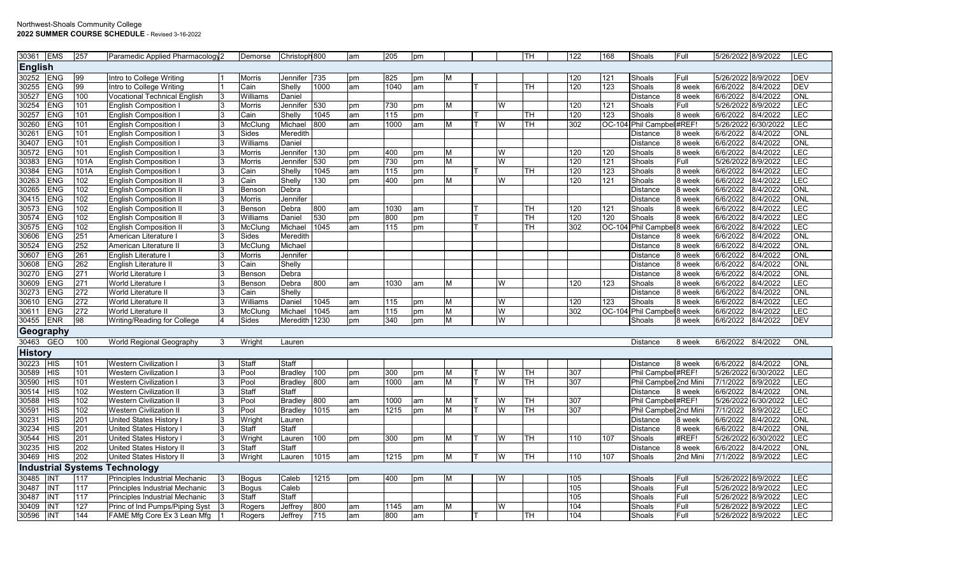## Northwest-Shoals Community College **2022 SUMMER COURSE SCHEDULE** - Revised 3-16-2022

| 30361          | <b>EMS</b> | 257  | Paramedic Applied Pharmacology 2     |   | Demorse       | Christoph 800  |      | am | 205  | pm |   |   | TН | 122              | 168      | Shoals                                | Full     | 5/26/2022 8/9/2022  |          | <b>LEC</b> |
|----------------|------------|------|--------------------------------------|---|---------------|----------------|------|----|------|----|---|---|----|------------------|----------|---------------------------------------|----------|---------------------|----------|------------|
| <b>English</b> |            |      |                                      |   |               |                |      |    |      |    |   |   |    |                  |          |                                       |          |                     |          |            |
| 30252          | <b>ENG</b> | 99   | Intro to College Writing             |   | <b>Morris</b> | Jennifer 735   |      | pm | 825  | pm |   |   |    | 120              | 121      | Shoals                                | Full     | 5/26/2022 8/9/2022  |          | <b>DEV</b> |
| 30255          | <b>ENG</b> | 99   | Intro to College Writing             |   | Cain          | Shelly         | 1000 | am | 1040 | am |   |   | тн | 120              | 123      | Shoals                                | 8 week   | 6/6/2022            | 8/4/2022 | <b>DEV</b> |
| 30527          | ENG        | 100  | <b>Vocational Technical English</b>  |   | Williams      | Daniel         |      |    |      |    |   |   |    |                  |          | Distance                              | 8 week   | 6/6/2022            | 8/4/2022 | ONL        |
| 30254          | ENG        | 101  | English Composition                  |   | <b>Morris</b> | Jennifer       | 530  | pm | 730  | pm | М | W |    | 120              | 121      | Shoals                                | Full     | 5/26/2022 8/9/2022  |          | LEC        |
| 30257          | ENG        | 101  | English Composition                  |   | Cain          | Shelly         | 1045 | am | 115  | pm |   |   | TН | 120              | 123      | Shoals                                | 8 week   | 6/6/2022            | 8/4/2022 | <b>LEC</b> |
| 30260          | <b>ENG</b> | 101  | English Composition I                |   | McClung       | Michael        | 800  | am | 1000 | am | м | W | TH | $\overline{302}$ | OC-104   | Phil Campbel #REF!                    |          | 5/26/2022 6/30/2022 |          | LEC        |
| 30261          | <b>ENG</b> | 101  | <b>English Composition I</b>         |   | Sides         | Meredith       |      |    |      |    |   |   |    |                  |          | Distance                              | 8 week   | 6/6/2022            | 8/4/2022 | ONL        |
| 30407          | <b>ENG</b> | 101  | <b>English Composition I</b>         |   | Williams      | Daniel         |      |    |      |    |   |   |    |                  |          | Distance                              | 8 week   | 6/6/2022            | 8/4/2022 | ONL        |
| 30572          | <b>ENG</b> | 101  | <b>English Composition</b>           |   | <b>Morris</b> | Jennifer       | 130  | pm | 400  | pm | М | W |    | 120              | 120      | Shoals                                | 8 week   | 6/6/2022            | 8/4/2022 | LEC        |
| 30383          | <b>ENG</b> | 101A | <b>English Composition</b>           |   | <b>Morris</b> | Jennifer       | 530  | pm | 730  | pm | м | W |    | 120              | 121      | Shoals                                | Full     | 5/26/2022 8/9/2022  |          | LEC        |
| 30384          | <b>ENG</b> | 101A | <b>English Composition I</b>         |   | Cain          | Shelly         | 1045 | am | 115  | pm |   |   | TН | 120              | 123      | Shoals                                | 8 week   | 6/6/2022            | 8/4/2022 | LEC        |
| 30263          | <b>ENG</b> | 102  | <b>English Composition I</b>         |   | Cain          | Shelly         | 130  | pm | 400  | pm | М | W |    | 120              | 121      | Shoals                                | 8 week   | 6/6/2022            | 8/4/2022 | LEC        |
| 30265          | <b>ENG</b> | 102  | <b>English Composition II</b>        |   | Benson        | Debra          |      |    |      |    |   |   |    |                  |          | Distance                              | 8 week   | 6/6/2022            | 8/4/2022 | ONL        |
| 30415          | <b>ENG</b> | 102  | <b>English Composition I</b>         |   | <b>Morris</b> | Jennifer       |      |    |      |    |   |   |    |                  |          | Distance                              | 8 week   | 6/6/2022            | 8/4/2022 | ONL        |
| 30573          | <b>ENG</b> | 102  | <b>English Composition II</b>        |   | Benson        | Debra          | 800  | am | 1030 | am |   |   | TН | 120              | 121      | Shoals                                | 8 week   | 6/6/2022            | 8/4/2022 | <b>LEC</b> |
| 30574          | ENG        | 102  | <b>English Composition II</b>        |   | Williams      | Daniel         | 530  | pm | 800  | pm |   |   | тн | 120              | 120      | Shoals                                | 8 week   | 6/6/2022            | 8/4/2022 | <b>LEC</b> |
| 30575          | ENG        | 102  | <b>English Composition I</b>         |   | McClung       | Michael        | 1045 | am | 115  | pm |   |   | TН | 302              |          | OC-104 Phil Campbel <sup>8</sup> week |          | 6/6/2022            | 8/4/2022 | LEC        |
| 30606          | <b>ENG</b> | 251  | American Literature I                |   | Sides         | Meredith       |      |    |      |    |   |   |    |                  |          | Distance                              | 8 week   | 6/6/2022            | 8/4/2022 | ONL        |
| 30524          | <b>ENG</b> | 252  | American Literature II               |   | McClung       | Michael        |      |    |      |    |   |   |    |                  |          | Distance                              | 8 week   | 6/6/2022            | 8/4/2022 | ONL        |
| 30607          | <b>ENG</b> | 261  | English Literature I                 |   | <b>Morris</b> | Jennifer       |      |    |      |    |   |   |    |                  |          | Distance                              | 8 week   | 6/6/2022            | 8/4/2022 | ONL        |
| 30608          | <b>ENG</b> | 262  | English Literature II                |   | Cain          | Shelly         |      |    |      |    |   |   |    |                  |          | Distance                              | 8 week   | 6/6/2022            | 8/4/2022 | ONL        |
| 30270          | <b>ENG</b> | 271  | World Literature I                   |   | Benson        | Debra          |      |    |      |    |   |   |    |                  |          | Distance                              | 8 week   | 6/6/2022            | 8/4/2022 | ONL        |
| 30609          | <b>ENG</b> | 271  | World Literature I                   |   | Benson        | Debra          | 800  | am | 1030 | am | м | W |    | 120              | 123      | Shoals                                | 3 week   | 6/6/2022            | 8/4/2022 | LEC        |
| 30273          | <b>ENG</b> | 272  | World Literature II                  |   | Cain          | Shelly         |      |    |      |    |   |   |    |                  |          | Distance                              | 8 week   | 6/6/2022            | 8/4/2022 | ONL        |
| 30610          | <b>ENG</b> | 272  | World Literature II                  |   | Williams      | Daniel         | 1045 | am | 115  | pm | м | W |    | 120              | 123      | Shoals                                | 8 week   | 6/6/2022            | 8/4/2022 | LEC        |
| 30611          | <b>ENG</b> | 272  | World Literature II                  |   | McClung       | Michael        | 1045 | am | 115  | pm | м | W |    | 302              | $OC-104$ | Phil Campbel 8 week                   |          | 6/6/2022            | 8/4/2022 | <b>LEC</b> |
| 30455          | <b>ENR</b> | 98   | <b>Writing/Reading for College</b>   |   | Sides         | Meredith 1230  |      | pm | 340  | pm | М | W |    |                  |          | Shoals                                | 8 week   | 6/6/2022            | 8/4/2022 | <b>DEV</b> |
| Geography      |            |      |                                      |   |               |                |      |    |      |    |   |   |    |                  |          |                                       |          |                     |          |            |
| 30463          | <b>GEO</b> | 100  | World Regional Geography             | 3 | Wright        | Lauren         |      |    |      |    |   |   |    |                  |          | <b>Distance</b>                       | 8 week   | 6/6/2022            | 8/4/2022 | <b>ONL</b> |
| <b>History</b> |            |      |                                      |   |               |                |      |    |      |    |   |   |    |                  |          |                                       |          |                     |          |            |
| 30223          | <b>HIS</b> | 101  | <b>Western Civilization I</b>        |   | Staff         | Staff          |      |    |      |    |   |   |    |                  |          | Distance                              | 8 week   | 6/6/2022            | 8/4/2022 | <b>ONL</b> |
| 30589          | <b>HIS</b> | 101  | <b>Western Civilization I</b>        |   | Pool          | Bradley 100    |      | pm | 300  | pm | м | W | TН | 307              |          | Phil Campbel #REF!                    |          | 5/26/2022 6/30/2022 |          | <b>LEC</b> |
| 30590          | <b>HIS</b> | 101  | <b>Western Civilization I</b>        |   | Pool          | <b>Bradley</b> | 800  | am | 1000 | am | м | W | TН | 307              |          | Phil Campbel 2nd Mini                 |          | 7/1/2022            | 8/9/2022 | <b>LEC</b> |
| 30514          | <b>HIS</b> | 102  | <b>Western Civilization II</b>       |   | Staff         | Staff          |      |    |      |    |   |   |    |                  |          | <b>Distance</b>                       | 8 week   | 6/6/2022            | 8/4/2022 | ONL        |
| 30588          | <b>HIS</b> | 102  | <b>Western Civilization II</b>       |   | Pool          | <b>Bradley</b> | 800  | am | 1000 | am | м | W | TН | 307              |          | Phil Campbel #REF!                    |          | 5/26/2022 6/30/2022 |          | <b>LEC</b> |
| 30591          | <b>HIS</b> | 102  | <b>Western Civilization II</b>       |   | Pool          | Bradley        | 1015 | am | 1215 | pm | м | W | TН | 307              |          | Phil Campbel 2nd Mini                 |          | 7/1/2022            | 8/9/2022 | <b>LEC</b> |
| 30231          | <b>HIS</b> | 201  | United States History I              |   | Wright        | Lauren         |      |    |      |    |   |   |    |                  |          | Distance                              | 8 week   | 6/6/2022            | 8/4/2022 | ONL        |
| 30234          | <b>HIS</b> | 201  | <b>United States History I</b>       |   | Staff         | Staff          |      |    |      |    |   |   |    |                  |          | Distance                              | 8 week   | 6/6/2022            | 8/4/2022 | ONL        |
| 30544          | <b>HIS</b> | 201  | United States History I              |   | Wright        | Lauren         | 100  | pm | 300  | pm | м | W | TН | 110              | 107      | Shoals                                | #REF!    | 5/26/2022 6/30/2022 |          | <b>LEC</b> |
| 30235          | <b>HIS</b> | 202  | United States History II             |   | Staff         | Staff          |      |    |      |    |   |   |    |                  |          | Distance                              | 8 week   | 6/6/2022            | 8/4/2022 | <b>ONL</b> |
| 30469          | <b>HIS</b> | 202  | United States History II             |   | Wright        | Lauren         | 1015 | am | 1215 | pm | М | W | TH | 110              | 107      | Shoals                                | 2nd Mini | 7/1/2022            | 8/9/2022 | LEC        |
|                |            |      | <b>Industrial Systems Technology</b> |   |               |                |      |    |      |    |   |   |    |                  |          |                                       |          |                     |          |            |
| 30485          | <b>INT</b> | 117  | Principles Industrial Mechanic       |   | <b>Bogus</b>  | Caleb          | 1215 | pm | 400  | pm | м | W |    | 105              |          | Shoals                                | Full     | 5/26/2022 8/9/2022  |          | <b>LEC</b> |
| 30487          | <b>INT</b> | 117  | Principles Industrial Mechanic       |   | <b>Bogus</b>  | Caleb          |      |    |      |    |   |   |    | 105              |          | Shoals                                | Full     | 5/26/2022 8/9/2022  |          | LEC        |
| 30487          | <b>INT</b> | 117  | Principles Industrial Mechanic       |   | <b>Staff</b>  | Staff          |      |    |      |    |   |   |    | 105              |          | Shoals                                | Full     | 5/26/2022 8/9/2022  |          | LEC        |
| 30409          | <b>INT</b> | 127  | Princ of Ind Pumps/Piping Syst       |   | Rogers        | Jeffrey        | 800  | am | 1145 | am | м | W |    | 104              |          | Shoals                                | Full     | 5/26/2022 8/9/2022  |          | LEC        |
| 30596          | INT        | 144  | FAME Mfg Core Ex 3 Lean Mfg          |   | Rogers        | Jeffrey        | 715  | am | 800  | am |   |   | TН | 104              |          | Shoals                                | Full     | 5/26/2022 8/9/2022  |          | <b>LEC</b> |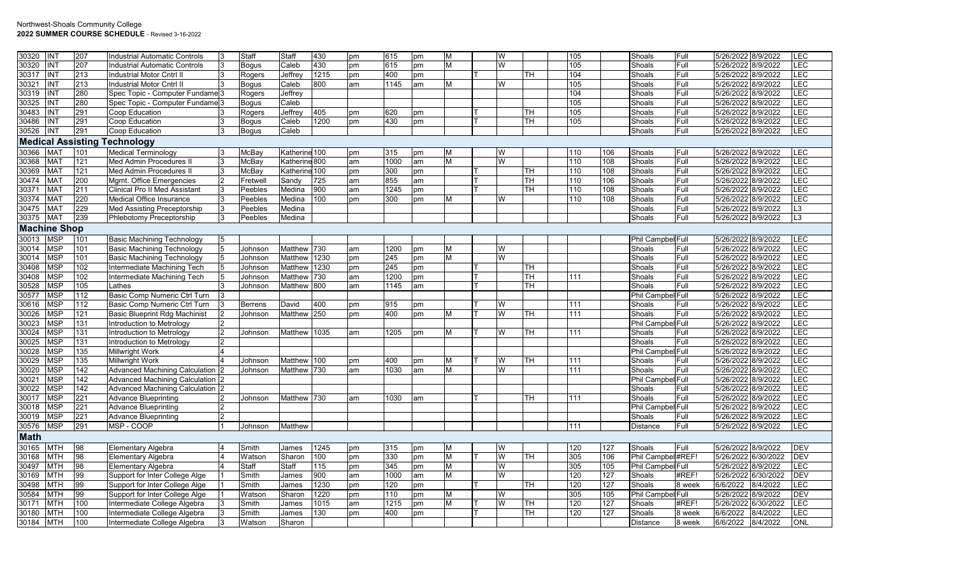| 430<br>LEC<br>30320<br>207<br>М<br>W<br>5/26/2022 8/9/2022<br>INT<br>Caleb<br>615<br>105<br>Shoals<br>Full<br>Industrial Automatic Controls<br>Bogus<br>pm<br>pm<br>LEC<br><b>INT</b><br>213<br>1215<br>400<br>TН<br>104<br>Full<br>5/26/2022 8/9/2022<br>30317<br>Industrial Motor Cntrl II<br>Jeffrey<br>Shoals<br>Rogers<br>pm<br>pm<br>LEC<br>213<br>800<br>W<br>105<br>5/26/2022 8/9/2022<br>30321<br><b>INT</b><br>Industrial Motor Cntrl II<br>Caleb<br>1145<br>М<br>Shoals<br>Full<br>Bogus<br>lam<br>am<br>LEC<br>280<br>30319<br><b>INT</b><br>Spec Topic - Computer Fundame 3<br>Jeffrey<br>104<br>Shoals<br>Full<br>5/26/2022 8/9/2022<br>Rogers<br>LEC<br>280<br>105<br>5/26/2022 8/9/2022<br>30325<br><b>INT</b><br>Spec Topic - Computer Fundame 3<br>Bogus<br>Caleb<br>Shoals<br>Full<br>LEC<br>291<br>30483<br>INT<br>Jeffrey<br>405<br>105<br>Shoals<br>Full<br>5/26/2022 8/9/2022<br>Coop Education<br>Rogers<br>620<br>TН<br>pm<br>pm<br><b>LEC</b><br>30486<br>INT<br>291<br>1200<br>430<br>TН<br>105<br>Full<br>5/26/2022 8/9/2022<br>Coop Education<br>Bogus<br>Caleb<br>pm<br>Shoals<br>pm<br><b>LEC</b><br>30526<br><b>INT</b><br>291<br>Shoals<br>Full<br>5/26/2022 8/9/2022<br>Coop Education<br>3<br>Caleb<br>Bogus<br><b>Medical Assisting Technology</b><br>30366<br><b>MAT</b><br>101<br><b>Medical Terminology</b><br>McBay<br>Katherine 100<br>W<br>5/26/2022 8/9/2022<br><b>LEC</b><br>315<br>M<br>110<br>106<br>Shoals<br>Full<br>pm<br>pm<br>LEC<br><b>MAT</b><br>121<br>M<br>W<br>108<br>Full<br>5/26/2022 8/9/2022<br>30368<br>Med Admin Procedures II<br>McBay<br>Katherine 800<br>1000<br>110<br>Shoals<br>am<br>am<br>121<br>5/26/2022 8/9/2022<br>LEC<br>30369<br>MAT<br>Med Admin Procedures II<br>McBay<br>Katherine 100<br>300<br>TН<br>110<br>108<br>Shoals<br>Full<br>pm<br>pm<br>LEC<br>30474<br><b>MAT</b><br>200<br>725<br>855<br>TН<br>110<br>106<br>Shoals<br>Full<br>5/26/2022 8/9/2022<br>Mgmt. Office Emergencies<br>Sandy<br>am<br>Fretwell<br>am<br>900<br>LEC<br>30371<br><b>MAT</b><br>211<br><b>Clinical Pro II Med Assistant</b><br>1245<br>TН<br>110<br>108<br>Shoals<br>Full<br>5/26/2022 8/9/2022<br>Peebles<br>Medina<br>am<br>pm<br><b>LEC</b><br><b>MAT</b><br>220<br>100<br>W<br>110<br>108<br>5/26/2022 8/9/2022<br>30374<br><b>Medical Office Insurance</b><br>3<br>Peebles<br>Medina<br>pm<br>300<br>М<br>Shoals<br>Full<br>pm<br>229<br>L3<br>30475<br><b>MAT</b><br><b>Med Assisting Preceptorship</b><br>Medina<br>Shoals<br>Full<br>5/26/2022 8/9/2022<br>3<br>Peebles<br>239<br>30375<br><b>MAT</b><br>Full<br>L3<br>Phlebotomy Preceptorship<br>Medina<br>Shoals<br>5/26/2022 8/9/2022<br>Peebles<br><b>Machine Shop</b><br><b>MSP</b><br>5/26/2022 8/9/2022<br><b>LEC</b><br>30013<br>101<br>Phil Campbel Full<br><b>Basic Machining Technology</b><br>5<br>5/26/2022 8/9/2022<br><b>LEC</b><br><b>MSP</b><br>101<br><b>Basic Machining Technology</b><br>Matthew 730<br>1200<br>W<br>30014<br>5<br>М<br>Shoals<br>Full<br>Johnson<br>lam<br>pm<br><b>LEC</b><br><b>MSP</b><br>101<br>W<br>Full<br>5/26/2022 8/9/2022<br>30014<br>Basic Machining Technology<br>Matthew 1230<br>245<br>М<br>Shoals<br>5<br>Johnson<br>pm<br>pm<br><b>MSP</b><br>102<br>5/26/2022 8/9/2022<br><b>LEC</b><br>30408<br>Matthew 1230<br>245<br>TН<br>Full<br>Intermediate Machining Tech<br>Johnson<br>pm<br>Shoals<br>5<br>pm<br>LEC<br><b>MSP</b><br>102<br>Matthew 730<br>1200<br>TН<br>Full<br>5/26/2022 8/9/2022<br>30408<br>Intermediate Machining Tech<br>Johnson<br>Shoals<br>am<br>111<br>pm<br>MSP<br>105<br>TН<br>5/26/2022 8/9/2022<br>LEC<br>30528<br>Matthew 800<br>Shoals<br>Full<br>Johnson<br>lam<br>1145<br>Lathes<br>am<br><b>MSP</b><br>112<br>LEC<br>30577<br>Basic Comp Numeric Ctrl Turn<br>Phil Campbel Full<br>5/26/2022 8/9/2022<br>LEC<br>MSP<br>112<br>5/26/2022 8/9/2022<br>30616<br>Basic Comp Numeric Ctrl Turn<br>David<br>400<br>915<br>W<br>111<br>Shoals<br>Full<br>Berrens<br>pm<br>pm<br><b>MSP</b><br>121<br>LEC<br>30026<br><b>Basic Blueprint Rdg Machinist</b><br>Matthew 250<br>400<br>W<br>TН<br>111<br>Shoals<br>Full<br>5/26/2022 8/9/2022<br>Johnson<br>pm<br>pm<br>М<br><b>MSP</b><br>LEC<br>131<br>Phil Campbel Full<br>5/26/2022 8/9/2022<br>30023<br>Introduction to Metrology<br><b>MSP</b><br>LEC<br>30024<br>131<br>TH.<br>5/26/2022 8/9/2022<br>Introduction to Metrology<br>Matthew 1035<br>1205<br>W<br>111<br>Shoals<br>Full<br>Johnson<br>lam<br>pm<br>М<br><b>MSP</b><br>LEC<br>131<br>5/26/2022 8/9/2022<br>30025<br>Introduction to Metrology<br>Shoals<br>Full<br>LEC<br><b>MSP</b><br>135<br>Phil Campbel Full<br>5/26/2022 8/9/2022<br>30028<br>Millwright Work<br>LEC<br><b>MSP</b><br>135<br>5/26/2022 8/9/2022<br>30029<br><b>Millwright Work</b><br>Matthew 100<br>400<br>W<br>TH<br>111<br>Shoals<br>Full<br>Johnson<br>M<br>pm<br>pm<br>142<br><b>LEC</b><br>30020<br><b>MSP</b><br>Advanced Machining Calculation 2<br>Matthew 730<br>1030<br>W<br>Full<br>5/26/2022 8/9/2022<br>Johnson<br>am<br>am<br>М<br>111<br>Shoals<br>LEC<br><b>MSP</b><br>142<br>Phil Campbel Full<br>5/26/2022 8/9/2022<br>30021<br>Advanced Machining Calculation 2<br><b>MSP</b><br>5/26/2022 8/9/2022<br>LEC<br>30022<br>142<br>Advanced Machining Calculation 2<br>Shoals<br>Full<br><b>MSP</b><br>5/26/2022 8/9/2022<br>LEC<br>221<br>TH.<br>Shoals<br>Full<br>30017<br><b>Advance Blueprinting</b><br>Matthew 730<br>1030<br>111<br>Johnson<br>am<br>am<br>LEC<br><b>MSP</b><br>221<br>5/26/2022 8/9/2022<br>30018<br><b>Advance Blueprinting</b><br>Phil Campbel Full<br>MSP<br>221<br>LEC<br>30019<br><b>Advance Blueprinting</b><br>$\mathfrak{p}$<br>Shoals<br>Full<br>5/26/2022 8/9/2022<br>LEC<br>MSP<br>291<br>MSP-COOP<br>5/26/2022 8/9/2022<br>30576<br>Matthew<br>111<br>Distance<br>Full<br>Johnson<br><b>Math</b><br>W<br>5/26/2022 8/9/2022<br><b>DEV</b><br>30165<br>MTH<br>98<br>1245<br>127<br>Shoals<br>Full<br><b>Elementary Algebra</b><br>Smith<br>James<br>315<br>М<br>120<br>pm<br>pm<br>MTH<br>98<br>100<br>330<br>M<br>W<br>TН<br>305<br>106<br>Phil Campbel #REF!<br>5/26/2022 6/30/2022<br><b>DEV</b><br>30168<br>Elementary Algebra<br>Sharon<br>Watson<br>pm<br>pm<br>LEC<br><b>MTH</b><br>98<br>Staff<br>Staff<br>115<br>M<br>W<br>305<br>105<br>Phil Campbel Full<br>5/26/2022 8/9/2022<br>30497<br>Elementary Algebra<br>345<br>pm<br>pm<br>900<br>W<br>127<br>#REF!<br>5/26/2022 6/30/2022<br><b>DEV</b><br>30169<br><b>MTH</b><br>99<br>Support for Inter College Alge<br>Smith<br>James<br>1000<br>М<br>120<br>Shoals<br>lam<br>am<br><b>LEC</b><br>30498<br>MTH<br>99<br>1230<br>120<br>TH<br>120<br>127<br>Shoals<br>6/6/2022<br>8/4/2022<br>Support for Inter College Alge<br>Smith<br>James<br>pm<br>8 week<br>pm<br><b>DEV</b><br>1220<br>305<br>105<br>5/26/2022 8/9/2022<br>30584<br>MTH<br>99<br>Watson<br>Sharon<br>110<br>W<br>Phil Campbel Full<br>Support for Inter College Alge<br>pm<br>М<br>pm<br>LEC<br><b>MTH</b><br>100<br>W<br>127<br>#REF!<br>5/26/2022 6/30/2022<br>30171<br>Intermediate College Algebra<br>Smith<br>James<br>1015<br>1215<br>М<br>TН<br>120<br>Shoals<br>am<br>pm<br>$\overline{127}$<br>LEC<br>MTH<br>100<br>Smith<br>James<br>130<br>400<br>TН<br>120<br>Shoals<br>6/6/2022<br>8/4/2022<br>30180<br>Intermediate College Algebra<br>pm<br>8 week<br>pm | 30320 | <b>INT</b> | 207 | <b>Industrial Automatic Controls</b> | Staff  | Staff  | 430 | pm | 615 | pm | М | W |  | 105 | Shoals   | Full   | 5/26/2022 8/9/2022   | LEC        |
|----------------------------------------------------------------------------------------------------------------------------------------------------------------------------------------------------------------------------------------------------------------------------------------------------------------------------------------------------------------------------------------------------------------------------------------------------------------------------------------------------------------------------------------------------------------------------------------------------------------------------------------------------------------------------------------------------------------------------------------------------------------------------------------------------------------------------------------------------------------------------------------------------------------------------------------------------------------------------------------------------------------------------------------------------------------------------------------------------------------------------------------------------------------------------------------------------------------------------------------------------------------------------------------------------------------------------------------------------------------------------------------------------------------------------------------------------------------------------------------------------------------------------------------------------------------------------------------------------------------------------------------------------------------------------------------------------------------------------------------------------------------------------------------------------------------------------------------------------------------------------------------------------------------------------------------------------------------------------------------------------------------------------------------------------------------------------------------------------------------------------------------------------------------------------------------------------------------------------------------------------------------------------------------------------------------------------------------------------------------------------------------------------------------------------------------------------------------------------------------------------------------------------------------------------------------------------------------------------------------------------------------------------------------------------------------------------------------------------------------------------------------------------------------------------------------------------------------------------------------------------------------------------------------------------------------------------------------------------------------------------------------------------------------------------------------------------------------------------------------------------------------------------------------------------------------------------------------------------------------------------------------------------------------------------------------------------------------------------------------------------------------------------------------------------------------------------------------------------------------------------------------------------------------------------------------------------------------------------------------------------------------------------------------------------------------------------------------------------------------------------------------------------------------------------------------------------------------------------------------------------------------------------------------------------------------------------------------------------------------------------------------------------------------------------------------------------------------------------------------------------------------------------------------------------------------------------------------------------------------------------------------------------------------------------------------------------------------------------------------------------------------------------------------------------------------------------------------------------------------------------------------------------------------------------------------------------------------------------------------------------------------------------------------------------------------------------------------------------------------------------------------------------------------------------------------------------------------------------------------------------------------------------------------------------------------------------------------------------------------------------------------------------------------------------------------------------------------------------------------------------------------------------------------------------------------------------------------------------------------------------------------------------------------------------------------------------------------------------------------------------------------------------------------------------------------------------------------------------------------------------------------------------------------------------------------------------------------------------------------------------------------------------------------------------------------------------------------------------------------------------------------------------------------------------------------------------------------------------------------------------------------------------------------------------------------------------------------------------------------------------------------------------------------------------------------------------------------------------------------------------------------------------------------------------------------------------------------------------------------------------------------------------------------------------------------------------------------------------------------------------------------------------------------------------------------------------------------------------------------------------------------------------------------------------------------------------------------------------------------------------------------------------------------------------------------------------------------------------------------------------------------------------------------------------------------------------------------------------------------------------------------------------------------------------------------------------------------------------------------------------------------------------------------------------------------------------------------------------------------------------------------------------------------------------------------------------------------------------------------------------------------------------------------------------------------------------------------------------|-------|------------|-----|--------------------------------------|--------|--------|-----|----|-----|----|---|---|--|-----|----------|--------|----------------------|------------|
|                                                                                                                                                                                                                                                                                                                                                                                                                                                                                                                                                                                                                                                                                                                                                                                                                                                                                                                                                                                                                                                                                                                                                                                                                                                                                                                                                                                                                                                                                                                                                                                                                                                                                                                                                                                                                                                                                                                                                                                                                                                                                                                                                                                                                                                                                                                                                                                                                                                                                                                                                                                                                                                                                                                                                                                                                                                                                                                                                                                                                                                                                                                                                                                                                                                                                                                                                                                                                                                                                                                                                                                                                                                                                                                                                                                                                                                                                                                                                                                                                                                                                                                                                                                                                                                                                                                                                                                                                                                                                                                                                                                                                                                                                                                                                                                                                                                                                                                                                                                                                                                                                                                                                                                                                                                                                                                                                                                                                                                                                                                                                                                                                                                                                                                                                                                                                                                                                                                                                                                                                                                                                                                                                                                                                                                                                                                                                                                                                                                                                                                                                                                                                                                                                                                                                                                                                                                                                                                                                                                                                                                                                                                                                                                                                                                                                                                                                    |       |            |     |                                      |        |        |     |    |     |    |   |   |  |     |          |        |                      |            |
|                                                                                                                                                                                                                                                                                                                                                                                                                                                                                                                                                                                                                                                                                                                                                                                                                                                                                                                                                                                                                                                                                                                                                                                                                                                                                                                                                                                                                                                                                                                                                                                                                                                                                                                                                                                                                                                                                                                                                                                                                                                                                                                                                                                                                                                                                                                                                                                                                                                                                                                                                                                                                                                                                                                                                                                                                                                                                                                                                                                                                                                                                                                                                                                                                                                                                                                                                                                                                                                                                                                                                                                                                                                                                                                                                                                                                                                                                                                                                                                                                                                                                                                                                                                                                                                                                                                                                                                                                                                                                                                                                                                                                                                                                                                                                                                                                                                                                                                                                                                                                                                                                                                                                                                                                                                                                                                                                                                                                                                                                                                                                                                                                                                                                                                                                                                                                                                                                                                                                                                                                                                                                                                                                                                                                                                                                                                                                                                                                                                                                                                                                                                                                                                                                                                                                                                                                                                                                                                                                                                                                                                                                                                                                                                                                                                                                                                                                    |       |            |     |                                      |        |        |     |    |     |    |   |   |  |     |          |        |                      |            |
|                                                                                                                                                                                                                                                                                                                                                                                                                                                                                                                                                                                                                                                                                                                                                                                                                                                                                                                                                                                                                                                                                                                                                                                                                                                                                                                                                                                                                                                                                                                                                                                                                                                                                                                                                                                                                                                                                                                                                                                                                                                                                                                                                                                                                                                                                                                                                                                                                                                                                                                                                                                                                                                                                                                                                                                                                                                                                                                                                                                                                                                                                                                                                                                                                                                                                                                                                                                                                                                                                                                                                                                                                                                                                                                                                                                                                                                                                                                                                                                                                                                                                                                                                                                                                                                                                                                                                                                                                                                                                                                                                                                                                                                                                                                                                                                                                                                                                                                                                                                                                                                                                                                                                                                                                                                                                                                                                                                                                                                                                                                                                                                                                                                                                                                                                                                                                                                                                                                                                                                                                                                                                                                                                                                                                                                                                                                                                                                                                                                                                                                                                                                                                                                                                                                                                                                                                                                                                                                                                                                                                                                                                                                                                                                                                                                                                                                                                    |       |            |     |                                      |        |        |     |    |     |    |   |   |  |     |          |        |                      |            |
|                                                                                                                                                                                                                                                                                                                                                                                                                                                                                                                                                                                                                                                                                                                                                                                                                                                                                                                                                                                                                                                                                                                                                                                                                                                                                                                                                                                                                                                                                                                                                                                                                                                                                                                                                                                                                                                                                                                                                                                                                                                                                                                                                                                                                                                                                                                                                                                                                                                                                                                                                                                                                                                                                                                                                                                                                                                                                                                                                                                                                                                                                                                                                                                                                                                                                                                                                                                                                                                                                                                                                                                                                                                                                                                                                                                                                                                                                                                                                                                                                                                                                                                                                                                                                                                                                                                                                                                                                                                                                                                                                                                                                                                                                                                                                                                                                                                                                                                                                                                                                                                                                                                                                                                                                                                                                                                                                                                                                                                                                                                                                                                                                                                                                                                                                                                                                                                                                                                                                                                                                                                                                                                                                                                                                                                                                                                                                                                                                                                                                                                                                                                                                                                                                                                                                                                                                                                                                                                                                                                                                                                                                                                                                                                                                                                                                                                                                    |       |            |     |                                      |        |        |     |    |     |    |   |   |  |     |          |        |                      |            |
|                                                                                                                                                                                                                                                                                                                                                                                                                                                                                                                                                                                                                                                                                                                                                                                                                                                                                                                                                                                                                                                                                                                                                                                                                                                                                                                                                                                                                                                                                                                                                                                                                                                                                                                                                                                                                                                                                                                                                                                                                                                                                                                                                                                                                                                                                                                                                                                                                                                                                                                                                                                                                                                                                                                                                                                                                                                                                                                                                                                                                                                                                                                                                                                                                                                                                                                                                                                                                                                                                                                                                                                                                                                                                                                                                                                                                                                                                                                                                                                                                                                                                                                                                                                                                                                                                                                                                                                                                                                                                                                                                                                                                                                                                                                                                                                                                                                                                                                                                                                                                                                                                                                                                                                                                                                                                                                                                                                                                                                                                                                                                                                                                                                                                                                                                                                                                                                                                                                                                                                                                                                                                                                                                                                                                                                                                                                                                                                                                                                                                                                                                                                                                                                                                                                                                                                                                                                                                                                                                                                                                                                                                                                                                                                                                                                                                                                                                    |       |            |     |                                      |        |        |     |    |     |    |   |   |  |     |          |        |                      |            |
|                                                                                                                                                                                                                                                                                                                                                                                                                                                                                                                                                                                                                                                                                                                                                                                                                                                                                                                                                                                                                                                                                                                                                                                                                                                                                                                                                                                                                                                                                                                                                                                                                                                                                                                                                                                                                                                                                                                                                                                                                                                                                                                                                                                                                                                                                                                                                                                                                                                                                                                                                                                                                                                                                                                                                                                                                                                                                                                                                                                                                                                                                                                                                                                                                                                                                                                                                                                                                                                                                                                                                                                                                                                                                                                                                                                                                                                                                                                                                                                                                                                                                                                                                                                                                                                                                                                                                                                                                                                                                                                                                                                                                                                                                                                                                                                                                                                                                                                                                                                                                                                                                                                                                                                                                                                                                                                                                                                                                                                                                                                                                                                                                                                                                                                                                                                                                                                                                                                                                                                                                                                                                                                                                                                                                                                                                                                                                                                                                                                                                                                                                                                                                                                                                                                                                                                                                                                                                                                                                                                                                                                                                                                                                                                                                                                                                                                                                    |       |            |     |                                      |        |        |     |    |     |    |   |   |  |     |          |        |                      |            |
|                                                                                                                                                                                                                                                                                                                                                                                                                                                                                                                                                                                                                                                                                                                                                                                                                                                                                                                                                                                                                                                                                                                                                                                                                                                                                                                                                                                                                                                                                                                                                                                                                                                                                                                                                                                                                                                                                                                                                                                                                                                                                                                                                                                                                                                                                                                                                                                                                                                                                                                                                                                                                                                                                                                                                                                                                                                                                                                                                                                                                                                                                                                                                                                                                                                                                                                                                                                                                                                                                                                                                                                                                                                                                                                                                                                                                                                                                                                                                                                                                                                                                                                                                                                                                                                                                                                                                                                                                                                                                                                                                                                                                                                                                                                                                                                                                                                                                                                                                                                                                                                                                                                                                                                                                                                                                                                                                                                                                                                                                                                                                                                                                                                                                                                                                                                                                                                                                                                                                                                                                                                                                                                                                                                                                                                                                                                                                                                                                                                                                                                                                                                                                                                                                                                                                                                                                                                                                                                                                                                                                                                                                                                                                                                                                                                                                                                                                    |       |            |     |                                      |        |        |     |    |     |    |   |   |  |     |          |        |                      |            |
|                                                                                                                                                                                                                                                                                                                                                                                                                                                                                                                                                                                                                                                                                                                                                                                                                                                                                                                                                                                                                                                                                                                                                                                                                                                                                                                                                                                                                                                                                                                                                                                                                                                                                                                                                                                                                                                                                                                                                                                                                                                                                                                                                                                                                                                                                                                                                                                                                                                                                                                                                                                                                                                                                                                                                                                                                                                                                                                                                                                                                                                                                                                                                                                                                                                                                                                                                                                                                                                                                                                                                                                                                                                                                                                                                                                                                                                                                                                                                                                                                                                                                                                                                                                                                                                                                                                                                                                                                                                                                                                                                                                                                                                                                                                                                                                                                                                                                                                                                                                                                                                                                                                                                                                                                                                                                                                                                                                                                                                                                                                                                                                                                                                                                                                                                                                                                                                                                                                                                                                                                                                                                                                                                                                                                                                                                                                                                                                                                                                                                                                                                                                                                                                                                                                                                                                                                                                                                                                                                                                                                                                                                                                                                                                                                                                                                                                                                    |       |            |     |                                      |        |        |     |    |     |    |   |   |  |     |          |        |                      |            |
|                                                                                                                                                                                                                                                                                                                                                                                                                                                                                                                                                                                                                                                                                                                                                                                                                                                                                                                                                                                                                                                                                                                                                                                                                                                                                                                                                                                                                                                                                                                                                                                                                                                                                                                                                                                                                                                                                                                                                                                                                                                                                                                                                                                                                                                                                                                                                                                                                                                                                                                                                                                                                                                                                                                                                                                                                                                                                                                                                                                                                                                                                                                                                                                                                                                                                                                                                                                                                                                                                                                                                                                                                                                                                                                                                                                                                                                                                                                                                                                                                                                                                                                                                                                                                                                                                                                                                                                                                                                                                                                                                                                                                                                                                                                                                                                                                                                                                                                                                                                                                                                                                                                                                                                                                                                                                                                                                                                                                                                                                                                                                                                                                                                                                                                                                                                                                                                                                                                                                                                                                                                                                                                                                                                                                                                                                                                                                                                                                                                                                                                                                                                                                                                                                                                                                                                                                                                                                                                                                                                                                                                                                                                                                                                                                                                                                                                                                    |       |            |     |                                      |        |        |     |    |     |    |   |   |  |     |          |        |                      |            |
|                                                                                                                                                                                                                                                                                                                                                                                                                                                                                                                                                                                                                                                                                                                                                                                                                                                                                                                                                                                                                                                                                                                                                                                                                                                                                                                                                                                                                                                                                                                                                                                                                                                                                                                                                                                                                                                                                                                                                                                                                                                                                                                                                                                                                                                                                                                                                                                                                                                                                                                                                                                                                                                                                                                                                                                                                                                                                                                                                                                                                                                                                                                                                                                                                                                                                                                                                                                                                                                                                                                                                                                                                                                                                                                                                                                                                                                                                                                                                                                                                                                                                                                                                                                                                                                                                                                                                                                                                                                                                                                                                                                                                                                                                                                                                                                                                                                                                                                                                                                                                                                                                                                                                                                                                                                                                                                                                                                                                                                                                                                                                                                                                                                                                                                                                                                                                                                                                                                                                                                                                                                                                                                                                                                                                                                                                                                                                                                                                                                                                                                                                                                                                                                                                                                                                                                                                                                                                                                                                                                                                                                                                                                                                                                                                                                                                                                                                    |       |            |     |                                      |        |        |     |    |     |    |   |   |  |     |          |        |                      |            |
|                                                                                                                                                                                                                                                                                                                                                                                                                                                                                                                                                                                                                                                                                                                                                                                                                                                                                                                                                                                                                                                                                                                                                                                                                                                                                                                                                                                                                                                                                                                                                                                                                                                                                                                                                                                                                                                                                                                                                                                                                                                                                                                                                                                                                                                                                                                                                                                                                                                                                                                                                                                                                                                                                                                                                                                                                                                                                                                                                                                                                                                                                                                                                                                                                                                                                                                                                                                                                                                                                                                                                                                                                                                                                                                                                                                                                                                                                                                                                                                                                                                                                                                                                                                                                                                                                                                                                                                                                                                                                                                                                                                                                                                                                                                                                                                                                                                                                                                                                                                                                                                                                                                                                                                                                                                                                                                                                                                                                                                                                                                                                                                                                                                                                                                                                                                                                                                                                                                                                                                                                                                                                                                                                                                                                                                                                                                                                                                                                                                                                                                                                                                                                                                                                                                                                                                                                                                                                                                                                                                                                                                                                                                                                                                                                                                                                                                                                    |       |            |     |                                      |        |        |     |    |     |    |   |   |  |     |          |        |                      |            |
|                                                                                                                                                                                                                                                                                                                                                                                                                                                                                                                                                                                                                                                                                                                                                                                                                                                                                                                                                                                                                                                                                                                                                                                                                                                                                                                                                                                                                                                                                                                                                                                                                                                                                                                                                                                                                                                                                                                                                                                                                                                                                                                                                                                                                                                                                                                                                                                                                                                                                                                                                                                                                                                                                                                                                                                                                                                                                                                                                                                                                                                                                                                                                                                                                                                                                                                                                                                                                                                                                                                                                                                                                                                                                                                                                                                                                                                                                                                                                                                                                                                                                                                                                                                                                                                                                                                                                                                                                                                                                                                                                                                                                                                                                                                                                                                                                                                                                                                                                                                                                                                                                                                                                                                                                                                                                                                                                                                                                                                                                                                                                                                                                                                                                                                                                                                                                                                                                                                                                                                                                                                                                                                                                                                                                                                                                                                                                                                                                                                                                                                                                                                                                                                                                                                                                                                                                                                                                                                                                                                                                                                                                                                                                                                                                                                                                                                                                    |       |            |     |                                      |        |        |     |    |     |    |   |   |  |     |          |        |                      |            |
|                                                                                                                                                                                                                                                                                                                                                                                                                                                                                                                                                                                                                                                                                                                                                                                                                                                                                                                                                                                                                                                                                                                                                                                                                                                                                                                                                                                                                                                                                                                                                                                                                                                                                                                                                                                                                                                                                                                                                                                                                                                                                                                                                                                                                                                                                                                                                                                                                                                                                                                                                                                                                                                                                                                                                                                                                                                                                                                                                                                                                                                                                                                                                                                                                                                                                                                                                                                                                                                                                                                                                                                                                                                                                                                                                                                                                                                                                                                                                                                                                                                                                                                                                                                                                                                                                                                                                                                                                                                                                                                                                                                                                                                                                                                                                                                                                                                                                                                                                                                                                                                                                                                                                                                                                                                                                                                                                                                                                                                                                                                                                                                                                                                                                                                                                                                                                                                                                                                                                                                                                                                                                                                                                                                                                                                                                                                                                                                                                                                                                                                                                                                                                                                                                                                                                                                                                                                                                                                                                                                                                                                                                                                                                                                                                                                                                                                                                    |       |            |     |                                      |        |        |     |    |     |    |   |   |  |     |          |        |                      |            |
|                                                                                                                                                                                                                                                                                                                                                                                                                                                                                                                                                                                                                                                                                                                                                                                                                                                                                                                                                                                                                                                                                                                                                                                                                                                                                                                                                                                                                                                                                                                                                                                                                                                                                                                                                                                                                                                                                                                                                                                                                                                                                                                                                                                                                                                                                                                                                                                                                                                                                                                                                                                                                                                                                                                                                                                                                                                                                                                                                                                                                                                                                                                                                                                                                                                                                                                                                                                                                                                                                                                                                                                                                                                                                                                                                                                                                                                                                                                                                                                                                                                                                                                                                                                                                                                                                                                                                                                                                                                                                                                                                                                                                                                                                                                                                                                                                                                                                                                                                                                                                                                                                                                                                                                                                                                                                                                                                                                                                                                                                                                                                                                                                                                                                                                                                                                                                                                                                                                                                                                                                                                                                                                                                                                                                                                                                                                                                                                                                                                                                                                                                                                                                                                                                                                                                                                                                                                                                                                                                                                                                                                                                                                                                                                                                                                                                                                                                    |       |            |     |                                      |        |        |     |    |     |    |   |   |  |     |          |        |                      |            |
|                                                                                                                                                                                                                                                                                                                                                                                                                                                                                                                                                                                                                                                                                                                                                                                                                                                                                                                                                                                                                                                                                                                                                                                                                                                                                                                                                                                                                                                                                                                                                                                                                                                                                                                                                                                                                                                                                                                                                                                                                                                                                                                                                                                                                                                                                                                                                                                                                                                                                                                                                                                                                                                                                                                                                                                                                                                                                                                                                                                                                                                                                                                                                                                                                                                                                                                                                                                                                                                                                                                                                                                                                                                                                                                                                                                                                                                                                                                                                                                                                                                                                                                                                                                                                                                                                                                                                                                                                                                                                                                                                                                                                                                                                                                                                                                                                                                                                                                                                                                                                                                                                                                                                                                                                                                                                                                                                                                                                                                                                                                                                                                                                                                                                                                                                                                                                                                                                                                                                                                                                                                                                                                                                                                                                                                                                                                                                                                                                                                                                                                                                                                                                                                                                                                                                                                                                                                                                                                                                                                                                                                                                                                                                                                                                                                                                                                                                    |       |            |     |                                      |        |        |     |    |     |    |   |   |  |     |          |        |                      |            |
|                                                                                                                                                                                                                                                                                                                                                                                                                                                                                                                                                                                                                                                                                                                                                                                                                                                                                                                                                                                                                                                                                                                                                                                                                                                                                                                                                                                                                                                                                                                                                                                                                                                                                                                                                                                                                                                                                                                                                                                                                                                                                                                                                                                                                                                                                                                                                                                                                                                                                                                                                                                                                                                                                                                                                                                                                                                                                                                                                                                                                                                                                                                                                                                                                                                                                                                                                                                                                                                                                                                                                                                                                                                                                                                                                                                                                                                                                                                                                                                                                                                                                                                                                                                                                                                                                                                                                                                                                                                                                                                                                                                                                                                                                                                                                                                                                                                                                                                                                                                                                                                                                                                                                                                                                                                                                                                                                                                                                                                                                                                                                                                                                                                                                                                                                                                                                                                                                                                                                                                                                                                                                                                                                                                                                                                                                                                                                                                                                                                                                                                                                                                                                                                                                                                                                                                                                                                                                                                                                                                                                                                                                                                                                                                                                                                                                                                                                    |       |            |     |                                      |        |        |     |    |     |    |   |   |  |     |          |        |                      |            |
|                                                                                                                                                                                                                                                                                                                                                                                                                                                                                                                                                                                                                                                                                                                                                                                                                                                                                                                                                                                                                                                                                                                                                                                                                                                                                                                                                                                                                                                                                                                                                                                                                                                                                                                                                                                                                                                                                                                                                                                                                                                                                                                                                                                                                                                                                                                                                                                                                                                                                                                                                                                                                                                                                                                                                                                                                                                                                                                                                                                                                                                                                                                                                                                                                                                                                                                                                                                                                                                                                                                                                                                                                                                                                                                                                                                                                                                                                                                                                                                                                                                                                                                                                                                                                                                                                                                                                                                                                                                                                                                                                                                                                                                                                                                                                                                                                                                                                                                                                                                                                                                                                                                                                                                                                                                                                                                                                                                                                                                                                                                                                                                                                                                                                                                                                                                                                                                                                                                                                                                                                                                                                                                                                                                                                                                                                                                                                                                                                                                                                                                                                                                                                                                                                                                                                                                                                                                                                                                                                                                                                                                                                                                                                                                                                                                                                                                                                    |       |            |     |                                      |        |        |     |    |     |    |   |   |  |     |          |        |                      |            |
|                                                                                                                                                                                                                                                                                                                                                                                                                                                                                                                                                                                                                                                                                                                                                                                                                                                                                                                                                                                                                                                                                                                                                                                                                                                                                                                                                                                                                                                                                                                                                                                                                                                                                                                                                                                                                                                                                                                                                                                                                                                                                                                                                                                                                                                                                                                                                                                                                                                                                                                                                                                                                                                                                                                                                                                                                                                                                                                                                                                                                                                                                                                                                                                                                                                                                                                                                                                                                                                                                                                                                                                                                                                                                                                                                                                                                                                                                                                                                                                                                                                                                                                                                                                                                                                                                                                                                                                                                                                                                                                                                                                                                                                                                                                                                                                                                                                                                                                                                                                                                                                                                                                                                                                                                                                                                                                                                                                                                                                                                                                                                                                                                                                                                                                                                                                                                                                                                                                                                                                                                                                                                                                                                                                                                                                                                                                                                                                                                                                                                                                                                                                                                                                                                                                                                                                                                                                                                                                                                                                                                                                                                                                                                                                                                                                                                                                                                    |       |            |     |                                      |        |        |     |    |     |    |   |   |  |     |          |        |                      |            |
|                                                                                                                                                                                                                                                                                                                                                                                                                                                                                                                                                                                                                                                                                                                                                                                                                                                                                                                                                                                                                                                                                                                                                                                                                                                                                                                                                                                                                                                                                                                                                                                                                                                                                                                                                                                                                                                                                                                                                                                                                                                                                                                                                                                                                                                                                                                                                                                                                                                                                                                                                                                                                                                                                                                                                                                                                                                                                                                                                                                                                                                                                                                                                                                                                                                                                                                                                                                                                                                                                                                                                                                                                                                                                                                                                                                                                                                                                                                                                                                                                                                                                                                                                                                                                                                                                                                                                                                                                                                                                                                                                                                                                                                                                                                                                                                                                                                                                                                                                                                                                                                                                                                                                                                                                                                                                                                                                                                                                                                                                                                                                                                                                                                                                                                                                                                                                                                                                                                                                                                                                                                                                                                                                                                                                                                                                                                                                                                                                                                                                                                                                                                                                                                                                                                                                                                                                                                                                                                                                                                                                                                                                                                                                                                                                                                                                                                                                    |       |            |     |                                      |        |        |     |    |     |    |   |   |  |     |          |        |                      |            |
|                                                                                                                                                                                                                                                                                                                                                                                                                                                                                                                                                                                                                                                                                                                                                                                                                                                                                                                                                                                                                                                                                                                                                                                                                                                                                                                                                                                                                                                                                                                                                                                                                                                                                                                                                                                                                                                                                                                                                                                                                                                                                                                                                                                                                                                                                                                                                                                                                                                                                                                                                                                                                                                                                                                                                                                                                                                                                                                                                                                                                                                                                                                                                                                                                                                                                                                                                                                                                                                                                                                                                                                                                                                                                                                                                                                                                                                                                                                                                                                                                                                                                                                                                                                                                                                                                                                                                                                                                                                                                                                                                                                                                                                                                                                                                                                                                                                                                                                                                                                                                                                                                                                                                                                                                                                                                                                                                                                                                                                                                                                                                                                                                                                                                                                                                                                                                                                                                                                                                                                                                                                                                                                                                                                                                                                                                                                                                                                                                                                                                                                                                                                                                                                                                                                                                                                                                                                                                                                                                                                                                                                                                                                                                                                                                                                                                                                                                    |       |            |     |                                      |        |        |     |    |     |    |   |   |  |     |          |        |                      |            |
|                                                                                                                                                                                                                                                                                                                                                                                                                                                                                                                                                                                                                                                                                                                                                                                                                                                                                                                                                                                                                                                                                                                                                                                                                                                                                                                                                                                                                                                                                                                                                                                                                                                                                                                                                                                                                                                                                                                                                                                                                                                                                                                                                                                                                                                                                                                                                                                                                                                                                                                                                                                                                                                                                                                                                                                                                                                                                                                                                                                                                                                                                                                                                                                                                                                                                                                                                                                                                                                                                                                                                                                                                                                                                                                                                                                                                                                                                                                                                                                                                                                                                                                                                                                                                                                                                                                                                                                                                                                                                                                                                                                                                                                                                                                                                                                                                                                                                                                                                                                                                                                                                                                                                                                                                                                                                                                                                                                                                                                                                                                                                                                                                                                                                                                                                                                                                                                                                                                                                                                                                                                                                                                                                                                                                                                                                                                                                                                                                                                                                                                                                                                                                                                                                                                                                                                                                                                                                                                                                                                                                                                                                                                                                                                                                                                                                                                                                    |       |            |     |                                      |        |        |     |    |     |    |   |   |  |     |          |        |                      |            |
|                                                                                                                                                                                                                                                                                                                                                                                                                                                                                                                                                                                                                                                                                                                                                                                                                                                                                                                                                                                                                                                                                                                                                                                                                                                                                                                                                                                                                                                                                                                                                                                                                                                                                                                                                                                                                                                                                                                                                                                                                                                                                                                                                                                                                                                                                                                                                                                                                                                                                                                                                                                                                                                                                                                                                                                                                                                                                                                                                                                                                                                                                                                                                                                                                                                                                                                                                                                                                                                                                                                                                                                                                                                                                                                                                                                                                                                                                                                                                                                                                                                                                                                                                                                                                                                                                                                                                                                                                                                                                                                                                                                                                                                                                                                                                                                                                                                                                                                                                                                                                                                                                                                                                                                                                                                                                                                                                                                                                                                                                                                                                                                                                                                                                                                                                                                                                                                                                                                                                                                                                                                                                                                                                                                                                                                                                                                                                                                                                                                                                                                                                                                                                                                                                                                                                                                                                                                                                                                                                                                                                                                                                                                                                                                                                                                                                                                                                    |       |            |     |                                      |        |        |     |    |     |    |   |   |  |     |          |        |                      |            |
|                                                                                                                                                                                                                                                                                                                                                                                                                                                                                                                                                                                                                                                                                                                                                                                                                                                                                                                                                                                                                                                                                                                                                                                                                                                                                                                                                                                                                                                                                                                                                                                                                                                                                                                                                                                                                                                                                                                                                                                                                                                                                                                                                                                                                                                                                                                                                                                                                                                                                                                                                                                                                                                                                                                                                                                                                                                                                                                                                                                                                                                                                                                                                                                                                                                                                                                                                                                                                                                                                                                                                                                                                                                                                                                                                                                                                                                                                                                                                                                                                                                                                                                                                                                                                                                                                                                                                                                                                                                                                                                                                                                                                                                                                                                                                                                                                                                                                                                                                                                                                                                                                                                                                                                                                                                                                                                                                                                                                                                                                                                                                                                                                                                                                                                                                                                                                                                                                                                                                                                                                                                                                                                                                                                                                                                                                                                                                                                                                                                                                                                                                                                                                                                                                                                                                                                                                                                                                                                                                                                                                                                                                                                                                                                                                                                                                                                                                    |       |            |     |                                      |        |        |     |    |     |    |   |   |  |     |          |        |                      |            |
|                                                                                                                                                                                                                                                                                                                                                                                                                                                                                                                                                                                                                                                                                                                                                                                                                                                                                                                                                                                                                                                                                                                                                                                                                                                                                                                                                                                                                                                                                                                                                                                                                                                                                                                                                                                                                                                                                                                                                                                                                                                                                                                                                                                                                                                                                                                                                                                                                                                                                                                                                                                                                                                                                                                                                                                                                                                                                                                                                                                                                                                                                                                                                                                                                                                                                                                                                                                                                                                                                                                                                                                                                                                                                                                                                                                                                                                                                                                                                                                                                                                                                                                                                                                                                                                                                                                                                                                                                                                                                                                                                                                                                                                                                                                                                                                                                                                                                                                                                                                                                                                                                                                                                                                                                                                                                                                                                                                                                                                                                                                                                                                                                                                                                                                                                                                                                                                                                                                                                                                                                                                                                                                                                                                                                                                                                                                                                                                                                                                                                                                                                                                                                                                                                                                                                                                                                                                                                                                                                                                                                                                                                                                                                                                                                                                                                                                                                    |       |            |     |                                      |        |        |     |    |     |    |   |   |  |     |          |        |                      |            |
|                                                                                                                                                                                                                                                                                                                                                                                                                                                                                                                                                                                                                                                                                                                                                                                                                                                                                                                                                                                                                                                                                                                                                                                                                                                                                                                                                                                                                                                                                                                                                                                                                                                                                                                                                                                                                                                                                                                                                                                                                                                                                                                                                                                                                                                                                                                                                                                                                                                                                                                                                                                                                                                                                                                                                                                                                                                                                                                                                                                                                                                                                                                                                                                                                                                                                                                                                                                                                                                                                                                                                                                                                                                                                                                                                                                                                                                                                                                                                                                                                                                                                                                                                                                                                                                                                                                                                                                                                                                                                                                                                                                                                                                                                                                                                                                                                                                                                                                                                                                                                                                                                                                                                                                                                                                                                                                                                                                                                                                                                                                                                                                                                                                                                                                                                                                                                                                                                                                                                                                                                                                                                                                                                                                                                                                                                                                                                                                                                                                                                                                                                                                                                                                                                                                                                                                                                                                                                                                                                                                                                                                                                                                                                                                                                                                                                                                                                    |       |            |     |                                      |        |        |     |    |     |    |   |   |  |     |          |        |                      |            |
|                                                                                                                                                                                                                                                                                                                                                                                                                                                                                                                                                                                                                                                                                                                                                                                                                                                                                                                                                                                                                                                                                                                                                                                                                                                                                                                                                                                                                                                                                                                                                                                                                                                                                                                                                                                                                                                                                                                                                                                                                                                                                                                                                                                                                                                                                                                                                                                                                                                                                                                                                                                                                                                                                                                                                                                                                                                                                                                                                                                                                                                                                                                                                                                                                                                                                                                                                                                                                                                                                                                                                                                                                                                                                                                                                                                                                                                                                                                                                                                                                                                                                                                                                                                                                                                                                                                                                                                                                                                                                                                                                                                                                                                                                                                                                                                                                                                                                                                                                                                                                                                                                                                                                                                                                                                                                                                                                                                                                                                                                                                                                                                                                                                                                                                                                                                                                                                                                                                                                                                                                                                                                                                                                                                                                                                                                                                                                                                                                                                                                                                                                                                                                                                                                                                                                                                                                                                                                                                                                                                                                                                                                                                                                                                                                                                                                                                                                    |       |            |     |                                      |        |        |     |    |     |    |   |   |  |     |          |        |                      |            |
|                                                                                                                                                                                                                                                                                                                                                                                                                                                                                                                                                                                                                                                                                                                                                                                                                                                                                                                                                                                                                                                                                                                                                                                                                                                                                                                                                                                                                                                                                                                                                                                                                                                                                                                                                                                                                                                                                                                                                                                                                                                                                                                                                                                                                                                                                                                                                                                                                                                                                                                                                                                                                                                                                                                                                                                                                                                                                                                                                                                                                                                                                                                                                                                                                                                                                                                                                                                                                                                                                                                                                                                                                                                                                                                                                                                                                                                                                                                                                                                                                                                                                                                                                                                                                                                                                                                                                                                                                                                                                                                                                                                                                                                                                                                                                                                                                                                                                                                                                                                                                                                                                                                                                                                                                                                                                                                                                                                                                                                                                                                                                                                                                                                                                                                                                                                                                                                                                                                                                                                                                                                                                                                                                                                                                                                                                                                                                                                                                                                                                                                                                                                                                                                                                                                                                                                                                                                                                                                                                                                                                                                                                                                                                                                                                                                                                                                                                    |       |            |     |                                      |        |        |     |    |     |    |   |   |  |     |          |        |                      |            |
|                                                                                                                                                                                                                                                                                                                                                                                                                                                                                                                                                                                                                                                                                                                                                                                                                                                                                                                                                                                                                                                                                                                                                                                                                                                                                                                                                                                                                                                                                                                                                                                                                                                                                                                                                                                                                                                                                                                                                                                                                                                                                                                                                                                                                                                                                                                                                                                                                                                                                                                                                                                                                                                                                                                                                                                                                                                                                                                                                                                                                                                                                                                                                                                                                                                                                                                                                                                                                                                                                                                                                                                                                                                                                                                                                                                                                                                                                                                                                                                                                                                                                                                                                                                                                                                                                                                                                                                                                                                                                                                                                                                                                                                                                                                                                                                                                                                                                                                                                                                                                                                                                                                                                                                                                                                                                                                                                                                                                                                                                                                                                                                                                                                                                                                                                                                                                                                                                                                                                                                                                                                                                                                                                                                                                                                                                                                                                                                                                                                                                                                                                                                                                                                                                                                                                                                                                                                                                                                                                                                                                                                                                                                                                                                                                                                                                                                                                    |       |            |     |                                      |        |        |     |    |     |    |   |   |  |     |          |        |                      |            |
|                                                                                                                                                                                                                                                                                                                                                                                                                                                                                                                                                                                                                                                                                                                                                                                                                                                                                                                                                                                                                                                                                                                                                                                                                                                                                                                                                                                                                                                                                                                                                                                                                                                                                                                                                                                                                                                                                                                                                                                                                                                                                                                                                                                                                                                                                                                                                                                                                                                                                                                                                                                                                                                                                                                                                                                                                                                                                                                                                                                                                                                                                                                                                                                                                                                                                                                                                                                                                                                                                                                                                                                                                                                                                                                                                                                                                                                                                                                                                                                                                                                                                                                                                                                                                                                                                                                                                                                                                                                                                                                                                                                                                                                                                                                                                                                                                                                                                                                                                                                                                                                                                                                                                                                                                                                                                                                                                                                                                                                                                                                                                                                                                                                                                                                                                                                                                                                                                                                                                                                                                                                                                                                                                                                                                                                                                                                                                                                                                                                                                                                                                                                                                                                                                                                                                                                                                                                                                                                                                                                                                                                                                                                                                                                                                                                                                                                                                    |       |            |     |                                      |        |        |     |    |     |    |   |   |  |     |          |        |                      |            |
|                                                                                                                                                                                                                                                                                                                                                                                                                                                                                                                                                                                                                                                                                                                                                                                                                                                                                                                                                                                                                                                                                                                                                                                                                                                                                                                                                                                                                                                                                                                                                                                                                                                                                                                                                                                                                                                                                                                                                                                                                                                                                                                                                                                                                                                                                                                                                                                                                                                                                                                                                                                                                                                                                                                                                                                                                                                                                                                                                                                                                                                                                                                                                                                                                                                                                                                                                                                                                                                                                                                                                                                                                                                                                                                                                                                                                                                                                                                                                                                                                                                                                                                                                                                                                                                                                                                                                                                                                                                                                                                                                                                                                                                                                                                                                                                                                                                                                                                                                                                                                                                                                                                                                                                                                                                                                                                                                                                                                                                                                                                                                                                                                                                                                                                                                                                                                                                                                                                                                                                                                                                                                                                                                                                                                                                                                                                                                                                                                                                                                                                                                                                                                                                                                                                                                                                                                                                                                                                                                                                                                                                                                                                                                                                                                                                                                                                                                    |       |            |     |                                      |        |        |     |    |     |    |   |   |  |     |          |        |                      |            |
|                                                                                                                                                                                                                                                                                                                                                                                                                                                                                                                                                                                                                                                                                                                                                                                                                                                                                                                                                                                                                                                                                                                                                                                                                                                                                                                                                                                                                                                                                                                                                                                                                                                                                                                                                                                                                                                                                                                                                                                                                                                                                                                                                                                                                                                                                                                                                                                                                                                                                                                                                                                                                                                                                                                                                                                                                                                                                                                                                                                                                                                                                                                                                                                                                                                                                                                                                                                                                                                                                                                                                                                                                                                                                                                                                                                                                                                                                                                                                                                                                                                                                                                                                                                                                                                                                                                                                                                                                                                                                                                                                                                                                                                                                                                                                                                                                                                                                                                                                                                                                                                                                                                                                                                                                                                                                                                                                                                                                                                                                                                                                                                                                                                                                                                                                                                                                                                                                                                                                                                                                                                                                                                                                                                                                                                                                                                                                                                                                                                                                                                                                                                                                                                                                                                                                                                                                                                                                                                                                                                                                                                                                                                                                                                                                                                                                                                                                    |       |            |     |                                      |        |        |     |    |     |    |   |   |  |     |          |        |                      |            |
|                                                                                                                                                                                                                                                                                                                                                                                                                                                                                                                                                                                                                                                                                                                                                                                                                                                                                                                                                                                                                                                                                                                                                                                                                                                                                                                                                                                                                                                                                                                                                                                                                                                                                                                                                                                                                                                                                                                                                                                                                                                                                                                                                                                                                                                                                                                                                                                                                                                                                                                                                                                                                                                                                                                                                                                                                                                                                                                                                                                                                                                                                                                                                                                                                                                                                                                                                                                                                                                                                                                                                                                                                                                                                                                                                                                                                                                                                                                                                                                                                                                                                                                                                                                                                                                                                                                                                                                                                                                                                                                                                                                                                                                                                                                                                                                                                                                                                                                                                                                                                                                                                                                                                                                                                                                                                                                                                                                                                                                                                                                                                                                                                                                                                                                                                                                                                                                                                                                                                                                                                                                                                                                                                                                                                                                                                                                                                                                                                                                                                                                                                                                                                                                                                                                                                                                                                                                                                                                                                                                                                                                                                                                                                                                                                                                                                                                                                    |       |            |     |                                      |        |        |     |    |     |    |   |   |  |     |          |        |                      |            |
|                                                                                                                                                                                                                                                                                                                                                                                                                                                                                                                                                                                                                                                                                                                                                                                                                                                                                                                                                                                                                                                                                                                                                                                                                                                                                                                                                                                                                                                                                                                                                                                                                                                                                                                                                                                                                                                                                                                                                                                                                                                                                                                                                                                                                                                                                                                                                                                                                                                                                                                                                                                                                                                                                                                                                                                                                                                                                                                                                                                                                                                                                                                                                                                                                                                                                                                                                                                                                                                                                                                                                                                                                                                                                                                                                                                                                                                                                                                                                                                                                                                                                                                                                                                                                                                                                                                                                                                                                                                                                                                                                                                                                                                                                                                                                                                                                                                                                                                                                                                                                                                                                                                                                                                                                                                                                                                                                                                                                                                                                                                                                                                                                                                                                                                                                                                                                                                                                                                                                                                                                                                                                                                                                                                                                                                                                                                                                                                                                                                                                                                                                                                                                                                                                                                                                                                                                                                                                                                                                                                                                                                                                                                                                                                                                                                                                                                                                    |       |            |     |                                      |        |        |     |    |     |    |   |   |  |     |          |        |                      |            |
|                                                                                                                                                                                                                                                                                                                                                                                                                                                                                                                                                                                                                                                                                                                                                                                                                                                                                                                                                                                                                                                                                                                                                                                                                                                                                                                                                                                                                                                                                                                                                                                                                                                                                                                                                                                                                                                                                                                                                                                                                                                                                                                                                                                                                                                                                                                                                                                                                                                                                                                                                                                                                                                                                                                                                                                                                                                                                                                                                                                                                                                                                                                                                                                                                                                                                                                                                                                                                                                                                                                                                                                                                                                                                                                                                                                                                                                                                                                                                                                                                                                                                                                                                                                                                                                                                                                                                                                                                                                                                                                                                                                                                                                                                                                                                                                                                                                                                                                                                                                                                                                                                                                                                                                                                                                                                                                                                                                                                                                                                                                                                                                                                                                                                                                                                                                                                                                                                                                                                                                                                                                                                                                                                                                                                                                                                                                                                                                                                                                                                                                                                                                                                                                                                                                                                                                                                                                                                                                                                                                                                                                                                                                                                                                                                                                                                                                                                    |       |            |     |                                      |        |        |     |    |     |    |   |   |  |     |          |        |                      |            |
|                                                                                                                                                                                                                                                                                                                                                                                                                                                                                                                                                                                                                                                                                                                                                                                                                                                                                                                                                                                                                                                                                                                                                                                                                                                                                                                                                                                                                                                                                                                                                                                                                                                                                                                                                                                                                                                                                                                                                                                                                                                                                                                                                                                                                                                                                                                                                                                                                                                                                                                                                                                                                                                                                                                                                                                                                                                                                                                                                                                                                                                                                                                                                                                                                                                                                                                                                                                                                                                                                                                                                                                                                                                                                                                                                                                                                                                                                                                                                                                                                                                                                                                                                                                                                                                                                                                                                                                                                                                                                                                                                                                                                                                                                                                                                                                                                                                                                                                                                                                                                                                                                                                                                                                                                                                                                                                                                                                                                                                                                                                                                                                                                                                                                                                                                                                                                                                                                                                                                                                                                                                                                                                                                                                                                                                                                                                                                                                                                                                                                                                                                                                                                                                                                                                                                                                                                                                                                                                                                                                                                                                                                                                                                                                                                                                                                                                                                    |       |            |     |                                      |        |        |     |    |     |    |   |   |  |     |          |        |                      |            |
|                                                                                                                                                                                                                                                                                                                                                                                                                                                                                                                                                                                                                                                                                                                                                                                                                                                                                                                                                                                                                                                                                                                                                                                                                                                                                                                                                                                                                                                                                                                                                                                                                                                                                                                                                                                                                                                                                                                                                                                                                                                                                                                                                                                                                                                                                                                                                                                                                                                                                                                                                                                                                                                                                                                                                                                                                                                                                                                                                                                                                                                                                                                                                                                                                                                                                                                                                                                                                                                                                                                                                                                                                                                                                                                                                                                                                                                                                                                                                                                                                                                                                                                                                                                                                                                                                                                                                                                                                                                                                                                                                                                                                                                                                                                                                                                                                                                                                                                                                                                                                                                                                                                                                                                                                                                                                                                                                                                                                                                                                                                                                                                                                                                                                                                                                                                                                                                                                                                                                                                                                                                                                                                                                                                                                                                                                                                                                                                                                                                                                                                                                                                                                                                                                                                                                                                                                                                                                                                                                                                                                                                                                                                                                                                                                                                                                                                                                    |       |            |     |                                      |        |        |     |    |     |    |   |   |  |     |          |        |                      |            |
|                                                                                                                                                                                                                                                                                                                                                                                                                                                                                                                                                                                                                                                                                                                                                                                                                                                                                                                                                                                                                                                                                                                                                                                                                                                                                                                                                                                                                                                                                                                                                                                                                                                                                                                                                                                                                                                                                                                                                                                                                                                                                                                                                                                                                                                                                                                                                                                                                                                                                                                                                                                                                                                                                                                                                                                                                                                                                                                                                                                                                                                                                                                                                                                                                                                                                                                                                                                                                                                                                                                                                                                                                                                                                                                                                                                                                                                                                                                                                                                                                                                                                                                                                                                                                                                                                                                                                                                                                                                                                                                                                                                                                                                                                                                                                                                                                                                                                                                                                                                                                                                                                                                                                                                                                                                                                                                                                                                                                                                                                                                                                                                                                                                                                                                                                                                                                                                                                                                                                                                                                                                                                                                                                                                                                                                                                                                                                                                                                                                                                                                                                                                                                                                                                                                                                                                                                                                                                                                                                                                                                                                                                                                                                                                                                                                                                                                                                    |       |            |     |                                      |        |        |     |    |     |    |   |   |  |     |          |        |                      |            |
|                                                                                                                                                                                                                                                                                                                                                                                                                                                                                                                                                                                                                                                                                                                                                                                                                                                                                                                                                                                                                                                                                                                                                                                                                                                                                                                                                                                                                                                                                                                                                                                                                                                                                                                                                                                                                                                                                                                                                                                                                                                                                                                                                                                                                                                                                                                                                                                                                                                                                                                                                                                                                                                                                                                                                                                                                                                                                                                                                                                                                                                                                                                                                                                                                                                                                                                                                                                                                                                                                                                                                                                                                                                                                                                                                                                                                                                                                                                                                                                                                                                                                                                                                                                                                                                                                                                                                                                                                                                                                                                                                                                                                                                                                                                                                                                                                                                                                                                                                                                                                                                                                                                                                                                                                                                                                                                                                                                                                                                                                                                                                                                                                                                                                                                                                                                                                                                                                                                                                                                                                                                                                                                                                                                                                                                                                                                                                                                                                                                                                                                                                                                                                                                                                                                                                                                                                                                                                                                                                                                                                                                                                                                                                                                                                                                                                                                                                    |       |            |     |                                      |        |        |     |    |     |    |   |   |  |     |          |        |                      |            |
|                                                                                                                                                                                                                                                                                                                                                                                                                                                                                                                                                                                                                                                                                                                                                                                                                                                                                                                                                                                                                                                                                                                                                                                                                                                                                                                                                                                                                                                                                                                                                                                                                                                                                                                                                                                                                                                                                                                                                                                                                                                                                                                                                                                                                                                                                                                                                                                                                                                                                                                                                                                                                                                                                                                                                                                                                                                                                                                                                                                                                                                                                                                                                                                                                                                                                                                                                                                                                                                                                                                                                                                                                                                                                                                                                                                                                                                                                                                                                                                                                                                                                                                                                                                                                                                                                                                                                                                                                                                                                                                                                                                                                                                                                                                                                                                                                                                                                                                                                                                                                                                                                                                                                                                                                                                                                                                                                                                                                                                                                                                                                                                                                                                                                                                                                                                                                                                                                                                                                                                                                                                                                                                                                                                                                                                                                                                                                                                                                                                                                                                                                                                                                                                                                                                                                                                                                                                                                                                                                                                                                                                                                                                                                                                                                                                                                                                                                    |       |            |     |                                      |        |        |     |    |     |    |   |   |  |     |          |        |                      |            |
|                                                                                                                                                                                                                                                                                                                                                                                                                                                                                                                                                                                                                                                                                                                                                                                                                                                                                                                                                                                                                                                                                                                                                                                                                                                                                                                                                                                                                                                                                                                                                                                                                                                                                                                                                                                                                                                                                                                                                                                                                                                                                                                                                                                                                                                                                                                                                                                                                                                                                                                                                                                                                                                                                                                                                                                                                                                                                                                                                                                                                                                                                                                                                                                                                                                                                                                                                                                                                                                                                                                                                                                                                                                                                                                                                                                                                                                                                                                                                                                                                                                                                                                                                                                                                                                                                                                                                                                                                                                                                                                                                                                                                                                                                                                                                                                                                                                                                                                                                                                                                                                                                                                                                                                                                                                                                                                                                                                                                                                                                                                                                                                                                                                                                                                                                                                                                                                                                                                                                                                                                                                                                                                                                                                                                                                                                                                                                                                                                                                                                                                                                                                                                                                                                                                                                                                                                                                                                                                                                                                                                                                                                                                                                                                                                                                                                                                                                    |       |            |     |                                      |        |        |     |    |     |    |   |   |  |     |          |        |                      |            |
|                                                                                                                                                                                                                                                                                                                                                                                                                                                                                                                                                                                                                                                                                                                                                                                                                                                                                                                                                                                                                                                                                                                                                                                                                                                                                                                                                                                                                                                                                                                                                                                                                                                                                                                                                                                                                                                                                                                                                                                                                                                                                                                                                                                                                                                                                                                                                                                                                                                                                                                                                                                                                                                                                                                                                                                                                                                                                                                                                                                                                                                                                                                                                                                                                                                                                                                                                                                                                                                                                                                                                                                                                                                                                                                                                                                                                                                                                                                                                                                                                                                                                                                                                                                                                                                                                                                                                                                                                                                                                                                                                                                                                                                                                                                                                                                                                                                                                                                                                                                                                                                                                                                                                                                                                                                                                                                                                                                                                                                                                                                                                                                                                                                                                                                                                                                                                                                                                                                                                                                                                                                                                                                                                                                                                                                                                                                                                                                                                                                                                                                                                                                                                                                                                                                                                                                                                                                                                                                                                                                                                                                                                                                                                                                                                                                                                                                                                    |       |            |     |                                      |        |        |     |    |     |    |   |   |  |     |          |        |                      |            |
|                                                                                                                                                                                                                                                                                                                                                                                                                                                                                                                                                                                                                                                                                                                                                                                                                                                                                                                                                                                                                                                                                                                                                                                                                                                                                                                                                                                                                                                                                                                                                                                                                                                                                                                                                                                                                                                                                                                                                                                                                                                                                                                                                                                                                                                                                                                                                                                                                                                                                                                                                                                                                                                                                                                                                                                                                                                                                                                                                                                                                                                                                                                                                                                                                                                                                                                                                                                                                                                                                                                                                                                                                                                                                                                                                                                                                                                                                                                                                                                                                                                                                                                                                                                                                                                                                                                                                                                                                                                                                                                                                                                                                                                                                                                                                                                                                                                                                                                                                                                                                                                                                                                                                                                                                                                                                                                                                                                                                                                                                                                                                                                                                                                                                                                                                                                                                                                                                                                                                                                                                                                                                                                                                                                                                                                                                                                                                                                                                                                                                                                                                                                                                                                                                                                                                                                                                                                                                                                                                                                                                                                                                                                                                                                                                                                                                                                                                    |       |            |     |                                      |        |        |     |    |     |    |   |   |  |     |          |        |                      |            |
|                                                                                                                                                                                                                                                                                                                                                                                                                                                                                                                                                                                                                                                                                                                                                                                                                                                                                                                                                                                                                                                                                                                                                                                                                                                                                                                                                                                                                                                                                                                                                                                                                                                                                                                                                                                                                                                                                                                                                                                                                                                                                                                                                                                                                                                                                                                                                                                                                                                                                                                                                                                                                                                                                                                                                                                                                                                                                                                                                                                                                                                                                                                                                                                                                                                                                                                                                                                                                                                                                                                                                                                                                                                                                                                                                                                                                                                                                                                                                                                                                                                                                                                                                                                                                                                                                                                                                                                                                                                                                                                                                                                                                                                                                                                                                                                                                                                                                                                                                                                                                                                                                                                                                                                                                                                                                                                                                                                                                                                                                                                                                                                                                                                                                                                                                                                                                                                                                                                                                                                                                                                                                                                                                                                                                                                                                                                                                                                                                                                                                                                                                                                                                                                                                                                                                                                                                                                                                                                                                                                                                                                                                                                                                                                                                                                                                                                                                    |       |            |     |                                      |        |        |     |    |     |    |   |   |  |     |          |        |                      |            |
|                                                                                                                                                                                                                                                                                                                                                                                                                                                                                                                                                                                                                                                                                                                                                                                                                                                                                                                                                                                                                                                                                                                                                                                                                                                                                                                                                                                                                                                                                                                                                                                                                                                                                                                                                                                                                                                                                                                                                                                                                                                                                                                                                                                                                                                                                                                                                                                                                                                                                                                                                                                                                                                                                                                                                                                                                                                                                                                                                                                                                                                                                                                                                                                                                                                                                                                                                                                                                                                                                                                                                                                                                                                                                                                                                                                                                                                                                                                                                                                                                                                                                                                                                                                                                                                                                                                                                                                                                                                                                                                                                                                                                                                                                                                                                                                                                                                                                                                                                                                                                                                                                                                                                                                                                                                                                                                                                                                                                                                                                                                                                                                                                                                                                                                                                                                                                                                                                                                                                                                                                                                                                                                                                                                                                                                                                                                                                                                                                                                                                                                                                                                                                                                                                                                                                                                                                                                                                                                                                                                                                                                                                                                                                                                                                                                                                                                                                    |       |            |     |                                      |        |        |     |    |     |    |   |   |  |     |          |        |                      |            |
|                                                                                                                                                                                                                                                                                                                                                                                                                                                                                                                                                                                                                                                                                                                                                                                                                                                                                                                                                                                                                                                                                                                                                                                                                                                                                                                                                                                                                                                                                                                                                                                                                                                                                                                                                                                                                                                                                                                                                                                                                                                                                                                                                                                                                                                                                                                                                                                                                                                                                                                                                                                                                                                                                                                                                                                                                                                                                                                                                                                                                                                                                                                                                                                                                                                                                                                                                                                                                                                                                                                                                                                                                                                                                                                                                                                                                                                                                                                                                                                                                                                                                                                                                                                                                                                                                                                                                                                                                                                                                                                                                                                                                                                                                                                                                                                                                                                                                                                                                                                                                                                                                                                                                                                                                                                                                                                                                                                                                                                                                                                                                                                                                                                                                                                                                                                                                                                                                                                                                                                                                                                                                                                                                                                                                                                                                                                                                                                                                                                                                                                                                                                                                                                                                                                                                                                                                                                                                                                                                                                                                                                                                                                                                                                                                                                                                                                                                    |       |            |     |                                      |        |        |     |    |     |    |   |   |  |     |          |        |                      |            |
|                                                                                                                                                                                                                                                                                                                                                                                                                                                                                                                                                                                                                                                                                                                                                                                                                                                                                                                                                                                                                                                                                                                                                                                                                                                                                                                                                                                                                                                                                                                                                                                                                                                                                                                                                                                                                                                                                                                                                                                                                                                                                                                                                                                                                                                                                                                                                                                                                                                                                                                                                                                                                                                                                                                                                                                                                                                                                                                                                                                                                                                                                                                                                                                                                                                                                                                                                                                                                                                                                                                                                                                                                                                                                                                                                                                                                                                                                                                                                                                                                                                                                                                                                                                                                                                                                                                                                                                                                                                                                                                                                                                                                                                                                                                                                                                                                                                                                                                                                                                                                                                                                                                                                                                                                                                                                                                                                                                                                                                                                                                                                                                                                                                                                                                                                                                                                                                                                                                                                                                                                                                                                                                                                                                                                                                                                                                                                                                                                                                                                                                                                                                                                                                                                                                                                                                                                                                                                                                                                                                                                                                                                                                                                                                                                                                                                                                                                    |       |            |     |                                      |        |        |     |    |     |    |   |   |  |     |          |        |                      |            |
|                                                                                                                                                                                                                                                                                                                                                                                                                                                                                                                                                                                                                                                                                                                                                                                                                                                                                                                                                                                                                                                                                                                                                                                                                                                                                                                                                                                                                                                                                                                                                                                                                                                                                                                                                                                                                                                                                                                                                                                                                                                                                                                                                                                                                                                                                                                                                                                                                                                                                                                                                                                                                                                                                                                                                                                                                                                                                                                                                                                                                                                                                                                                                                                                                                                                                                                                                                                                                                                                                                                                                                                                                                                                                                                                                                                                                                                                                                                                                                                                                                                                                                                                                                                                                                                                                                                                                                                                                                                                                                                                                                                                                                                                                                                                                                                                                                                                                                                                                                                                                                                                                                                                                                                                                                                                                                                                                                                                                                                                                                                                                                                                                                                                                                                                                                                                                                                                                                                                                                                                                                                                                                                                                                                                                                                                                                                                                                                                                                                                                                                                                                                                                                                                                                                                                                                                                                                                                                                                                                                                                                                                                                                                                                                                                                                                                                                                                    |       |            |     |                                      |        |        |     |    |     |    |   |   |  |     |          |        |                      |            |
|                                                                                                                                                                                                                                                                                                                                                                                                                                                                                                                                                                                                                                                                                                                                                                                                                                                                                                                                                                                                                                                                                                                                                                                                                                                                                                                                                                                                                                                                                                                                                                                                                                                                                                                                                                                                                                                                                                                                                                                                                                                                                                                                                                                                                                                                                                                                                                                                                                                                                                                                                                                                                                                                                                                                                                                                                                                                                                                                                                                                                                                                                                                                                                                                                                                                                                                                                                                                                                                                                                                                                                                                                                                                                                                                                                                                                                                                                                                                                                                                                                                                                                                                                                                                                                                                                                                                                                                                                                                                                                                                                                                                                                                                                                                                                                                                                                                                                                                                                                                                                                                                                                                                                                                                                                                                                                                                                                                                                                                                                                                                                                                                                                                                                                                                                                                                                                                                                                                                                                                                                                                                                                                                                                                                                                                                                                                                                                                                                                                                                                                                                                                                                                                                                                                                                                                                                                                                                                                                                                                                                                                                                                                                                                                                                                                                                                                                                    |       |            |     |                                      |        |        |     |    |     |    |   |   |  |     |          |        |                      |            |
|                                                                                                                                                                                                                                                                                                                                                                                                                                                                                                                                                                                                                                                                                                                                                                                                                                                                                                                                                                                                                                                                                                                                                                                                                                                                                                                                                                                                                                                                                                                                                                                                                                                                                                                                                                                                                                                                                                                                                                                                                                                                                                                                                                                                                                                                                                                                                                                                                                                                                                                                                                                                                                                                                                                                                                                                                                                                                                                                                                                                                                                                                                                                                                                                                                                                                                                                                                                                                                                                                                                                                                                                                                                                                                                                                                                                                                                                                                                                                                                                                                                                                                                                                                                                                                                                                                                                                                                                                                                                                                                                                                                                                                                                                                                                                                                                                                                                                                                                                                                                                                                                                                                                                                                                                                                                                                                                                                                                                                                                                                                                                                                                                                                                                                                                                                                                                                                                                                                                                                                                                                                                                                                                                                                                                                                                                                                                                                                                                                                                                                                                                                                                                                                                                                                                                                                                                                                                                                                                                                                                                                                                                                                                                                                                                                                                                                                                                    | 30184 | <b>MTH</b> | 100 | Intermediate College Algebra         | Watson | Sharon |     |    |     |    |   |   |  |     | Distance | 8 week | 6/6/2022<br>8/4/2022 | <b>ONL</b> |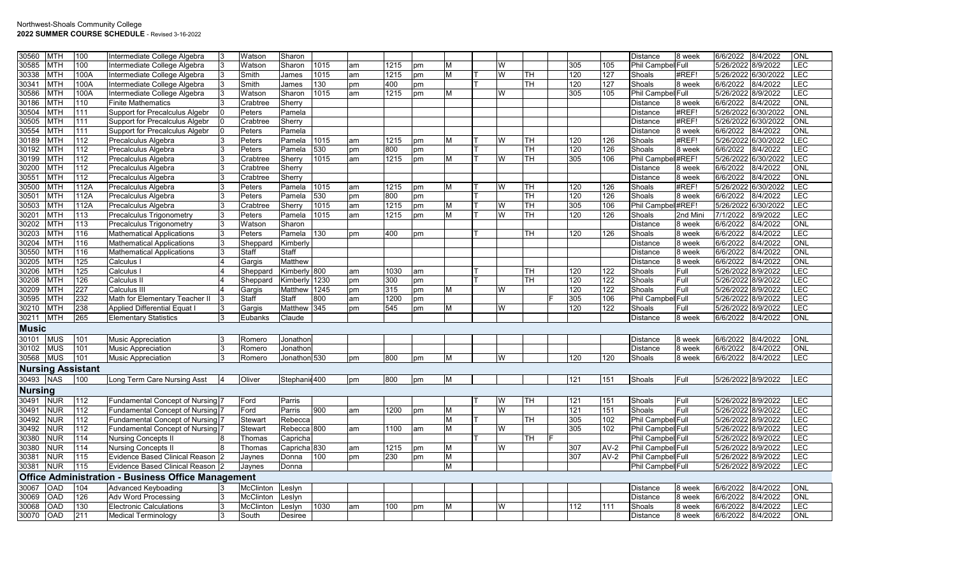| 30560          | <b>MTH</b>               | 100        | Intermediate College Algebra                                       |   | Watson           | Sharon                 |      |    |      |    |   |        |           |            |            | Distance           | 8 week       | 6/6/2022                                 | 8/4/2022  | ONL               |
|----------------|--------------------------|------------|--------------------------------------------------------------------|---|------------------|------------------------|------|----|------|----|---|--------|-----------|------------|------------|--------------------|--------------|------------------------------------------|-----------|-------------------|
| 30585          | <b>MTH</b>               | 100        | Intermediate College Algebra                                       |   | Watson           | Sharon                 | 1015 | am | 1215 | pm | M | W      |           | 305        | 105        | Phil Campbel Full  |              | 5/26/2022                                | 8/9/2022  | LEC               |
| 30338          | <b>MTH</b>               | 100A       | Intermediate College Algebra                                       |   | Smith            | James                  | 1015 | am | 1215 | pm | M | W      | lTH       | 120        | 127        | Shoals             | #REF!        | 5/26/2022                                | 6/30/2022 | LEC               |
| 30341          | <b>MTH</b>               | 100A       | Intermediate College Algebra                                       |   | Smith            | James                  | 130  | pm | 400  | pm |   |        | TH        | 120        | 127        | Shoals             | 8 week       | 6/6/2022                                 | 8/4/2022  | LEC               |
| 30586          | <b>MTH</b>               | 100A       | Intermediate College Algebra                                       |   | Watson           | Sharon                 | 1015 | am | 1215 | pm | M | W      |           | 305        | 105        | Phil Campbel Full  |              | 5/26/2022 8/9/2022                       |           | LEC               |
| 30186          | <b>MTH</b>               | 110        | <b>Finite Mathematics</b>                                          |   | Crabtree         | Sherry                 |      |    |      |    |   |        |           |            |            | <b>Distance</b>    | 8 week       | 6/6/2022                                 | 8/4/2022  | ONL               |
| 30504          | <b>MTH</b>               | 111        | <b>Support for Precalculus Algebr</b>                              |   | Peters           | Pamela                 |      |    |      |    |   |        |           |            |            | <b>Distance</b>    | #REF!        | 5/26/2022 6/30/2022                      |           | ONL               |
| 30505          | <b>MTH</b>               | 111        | Support for Precalculus Algebr                                     |   | Crabtree         | Sherry                 |      |    |      |    |   |        |           |            |            | <b>Distance</b>    | #REF!        | 5/26/2022                                | 6/30/2022 | ONL               |
| 30554          | <b>MTH</b>               | 111        | Support for Precalculus Algebr                                     |   | Peters           | Pamela                 |      |    |      |    |   |        |           |            |            | <b>Distance</b>    | 8 week       | 6/6/2022                                 | 8/4/2022  | ONL               |
| 30189          | MTH                      | 112        | Precalculus Algebra                                                |   | Peters           | Pamela                 | 1015 | am | 1215 | pm |   | W      | TН        | 120        | 126        | Shoals             | #REF!        | 5/26/2022                                | 6/30/2022 | LEC               |
| 30192          | MTH                      | 112        | Precalculus Algebra                                                |   | Peters           | Pamela                 | 530  | pm | 800  | pm |   |        | <b>TH</b> | 120        | 126        | Shoals             | 8 week       | 6/6/2022                                 | 8/4/2022  | LEC               |
| 30199          | <b>MTH</b>               | 112        | Precalculus Algebra                                                |   | Crabtree         | Sherry                 | 1015 | am | 1215 | pm | M | W      | TН        | 305        | 106        | Phil Campbel #REF! |              | 5/26/2022                                | 6/30/2022 | LEC               |
| 30200          | <b>MTH</b>               | 112        | Precalculus Algebra                                                |   | Crabtree         | Sherry                 |      |    |      |    |   |        |           |            |            | <b>Distance</b>    | 8 week       | 6/6/2022                                 | 8/4/2022  | <b>ONL</b>        |
| 30551          | <b>MTH</b>               | 112        | Precalculus Algebra                                                |   | Crabtree         | Sherry                 |      |    |      |    |   |        |           |            |            | <b>Distance</b>    | 8 week       | 6/6/2022                                 | 8/4/2022  | <b>ONL</b>        |
| 30500          | <b>MTH</b>               | 112A       | Precalculus Algebra                                                |   | Peters           | Pamela                 | 1015 | am | 1215 | pm | M | W      | lтн       | 120        | 126        | Shoals             | #REF!        | 5/26/2022                                | 6/30/2022 | LEC               |
| 30501          | <b>MTH</b>               | 112A       | Precalculus Algebra                                                |   | Peters           | Pamela                 | 530  | pm | 800  | pm |   |        | TH        | 120        | 126        | Shoals             | 8 week       | 6/6/2022                                 | 8/4/2022  | LEC               |
| 30503          | <b>MTH</b>               | 112A       | Precalculus Algebra                                                |   | Crabtree         | Sherry                 | 1015 | am | 1215 | pm | M | W      | <b>TH</b> | 305        | 106        | Phil Campbel #REF! |              | 5/26/2022                                | 6/30/2022 | LEC               |
| 30201          | <b>MTH</b>               | 113        | Precalculus Trigonometry                                           |   | Peters           | Pamela                 | 1015 | am | 1215 | pm | M | W      | TH        | 120        | 126        | Shoals             | 2nd Mini     | 7/1/2022                                 | 8/9/2022  | LEC               |
| 30202          | <b>MTH</b>               | 113        | Precalculus Trigonometry                                           | 3 | Watson           | Sharon                 |      |    |      |    |   |        |           |            |            | <b>Distance</b>    | 8 week       | 6/6/2022                                 | 8/4/2022  | ONL               |
| 30203          | <b>MTH</b>               | 116        | <b>Mathematical Applications</b>                                   | 3 | Peters           | Pamela                 | 130  | pm | 400  | pm |   |        | <b>TH</b> | 120        | 126        | Shoals             | 8 week       | 6/6/2022                                 | 8/4/2022  | <b>LEC</b>        |
| 30204          | <b>MTH</b>               | 116        | <b>Mathematical Applications</b>                                   |   | Sheppard         | Kimberly               |      |    |      |    |   |        |           |            |            | <b>Distance</b>    | 8 week       | 6/6/2022                                 | 8/4/2022  | ONL               |
| 30550          | <b>MTH</b>               | 116        | Mathematical Applications                                          |   | Staff            | Staff                  |      |    |      |    |   |        |           |            |            | <b>Distance</b>    | 8 week       | 6/6/2022                                 | 8/4/2022  | ONL               |
| 30205          | <b>MTH</b>               | 125        | Calculus I                                                         |   | Gargis           | Matthew                |      |    |      |    |   |        |           |            |            | <b>Distance</b>    | 8 week       | 6/6/2022                                 | 8/4/2022  | ONL               |
| 30206          | <b>MTH</b>               | 125        | Calculus                                                           |   | Sheppard         | Kimberly 800           |      | am | 1030 | am |   |        | <b>TH</b> | 120        | 122        | Shoals             | Full         | 5/26/2022                                | 8/9/2022  | LEC               |
| 30208          | <b>MTH</b>               | 126        | Calculus II                                                        |   | Sheppard         | Kimberly               | 1230 | pm | 300  | pm |   |        | TH.       | 120        | 122        | Shoals             | Full         | 5/26/2022 8/9/2022                       |           | LEC               |
| 30209          | <b>MTH</b>               | 227        | Calculus III                                                       |   | Gargis           | Matthew 1245           |      | pm | 315  | pm | M | W      |           | 120        | 122        | Shoals             | Full         | 5/26/2022 8/9/2022                       |           | LEC               |
| 30595          | <b>MTH</b>               | 232        | Math for Elementary Teacher II                                     |   | Staff            | Staff                  | 800  | am | 1200 |    |   |        |           | 305        | 106        | Phil Campbel Full  |              | 5/26/2022 8/9/2022                       |           | LEC               |
| 30210          | <b>MTH</b>               | 238        | <b>Applied Differential Equat I</b>                                |   | Gargis           | Matthew 345            |      |    | 545  | pm |   | W      |           | 120        | 122        | Shoals             | Full         | 5/26/2022 8/9/2022                       |           | LEC               |
|                | <b>MTH</b>               |            |                                                                    |   |                  |                        |      | pm |      | pm | M |        |           |            |            |                    |              |                                          |           | ONL               |
| 30211          |                          | 265        | <b>Elementary Statistics</b>                                       |   | Eubanks          | Claude                 |      |    |      |    |   |        |           |            |            | <b>Distance</b>    | 8 week       | 6/6/2022                                 | 8/4/2022  |                   |
| <b>Music</b>   |                          |            |                                                                    |   |                  |                        |      |    |      |    |   |        |           |            |            |                    |              |                                          |           |                   |
| 30101          | <b>MUS</b>               | 101        | <b>Music Appreciation</b>                                          |   | Romero           | Jonathon               |      |    |      |    |   |        |           |            |            | <b>Distance</b>    | 8 week       | 6/6/2022                                 | 8/4/2022  | ONL               |
| 30102          | <b>MUS</b>               | 101        | <b>Music Appreciation</b>                                          |   | Romero           | Jonathor               |      |    |      |    |   |        |           |            |            | <b>Distance</b>    | 8 week       | 6/6/2022                                 | 8/4/2022  | ONL               |
| 30568          | <b>MUS</b>               | 101        | <b>Music Appreciation</b>                                          |   | Romero           | Jonathon 530           |      | pm | 800  | pm | M | W      |           | 120        | 120        | Shoals             | 8 week       | 6/6/2022                                 | 8/4/2022  | LEC               |
|                | <b>Nursing Assistant</b> |            |                                                                    |   |                  |                        |      |    |      |    |   |        |           |            |            |                    |              |                                          |           |                   |
| 30493          | <b>NAS</b>               | 100        | Long Term Care Nursing Asst                                        |   | Oliver           | Stephanic400           |      | pm | 800  | pm | M |        |           | 121        | 151        | Shoals             | Full         | 5/26/2022 8/9/2022                       |           | <b>LEC</b>        |
| <b>Nursing</b> |                          |            |                                                                    |   |                  |                        |      |    |      |    |   |        |           |            |            |                    |              |                                          |           |                   |
|                | <b>NUR</b>               |            |                                                                    |   |                  |                        |      |    |      |    |   |        |           |            |            |                    |              |                                          |           |                   |
| 30491<br>30491 | <b>NUR</b>               | 112<br>112 | Fundamental Concept of Nursing<br>Fundamental Concept of Nursing 7 |   | Ford<br>Ford     | Parris<br>Parris       | 900  |    | 1200 |    | M | W<br>W | lTH.      | 121<br>121 | 151<br>151 | Shoals<br>Shoals   | Full<br>Full | 5/26/2022 8/9/2022<br>5/26/2022 8/9/2022 |           | <b>LEC</b><br>LEC |
|                |                          |            |                                                                    |   |                  |                        |      | am |      | pm |   |        |           |            |            |                    |              |                                          |           |                   |
| 30492          | <b>NUR</b>               | 112        | Fundamental Concept of Nursing 7                                   |   | <b>Stewart</b>   | Rebecca                |      |    |      |    | M |        | lth.      | 305        | 102        | Phil Campbel Full  |              | 5/26/2022                                | 8/9/2022  | LEC               |
| 30492          | <b>NUR</b>               | 112        | Fundamental Concept of Nursing                                     |   | Stewart          | Rebecca <sup>800</sup> |      | am | 1100 | am | M | W      |           | 305        | 102        | Phil Campbel Full  |              | 5/26/2022                                | 8/9/2022  | LEC               |
| 30380          | <b>NUR</b>               | 114        | <b>Nursing Concepts II</b>                                         |   | Thomas           | Capricha               |      |    |      |    |   |        | TH        |            |            | Phil Campbel Full  |              | 5/26/2022                                | 8/9/2022  | <b>LEC</b>        |
| 30380          | <b>NUR</b>               | 114        | <b>Nursing Concepts II</b>                                         |   | Thomas           | Capricha 830           |      | am | 1215 | pm | M | W      |           | 307        | $AV-2$     | Phil Campbel Full  |              | 5/26/2022                                | 8/9/2022  | LEC               |
| 30381          | <b>NUR</b>               | 115        | Evidence Based Clinical Reason 2                                   |   | Jaynes           | Donna                  | 100  | pm | 230  | pm | M |        |           | 307        | $AV-2$     | Phil Campbel Full  |              | 5/26/2022 8/9/2022                       |           | LEC               |
| 30381          | <b>NUR</b>               | 115        | Evidence Based Clinical Reason 2                                   |   | Jaynes           | Donna                  |      |    |      |    | M |        |           |            |            | Phil Campbel Full  |              | 5/26/2022 8/9/2022                       |           | LEC               |
|                |                          |            | <b>Office Administration - Business Office Management</b>          |   |                  |                        |      |    |      |    |   |        |           |            |            |                    |              |                                          |           |                   |
| 30067          | OAD                      | 104        | <b>Advanced Keyboading</b>                                         |   | <b>McClinton</b> | Leslyn                 |      |    |      |    |   |        |           |            |            | <b>Distance</b>    | 8 week       | 6/6/2022                                 | 8/4/2022  | ONL               |
| 30069          | <b>OAD</b>               | 126        | Adv Word Processing                                                |   | McClinton        | Leslyn                 |      |    |      |    |   |        |           |            |            | <b>Distance</b>    | 8 week       | 6/6/2022                                 | 8/4/2022  | ONL               |
| 30068          | <b>OAD</b>               | 130        | <b>Electronic Calculations</b>                                     |   | <b>McClinton</b> | Leslyn                 | 1030 | am | 100  | pm | М | W      |           | 112        | 111        | Shoals             | 8 week       | 6/6/2022                                 | 8/4/2022  | LEC               |
| 30070          | OAD                      | 211        | <b>Medical Terminology</b>                                         |   | South            | Desiree                |      |    |      |    |   |        |           |            |            | <b>Distance</b>    | 8 week       | 6/6/2022                                 | 8/4/2022  | ONL               |
|                |                          |            |                                                                    |   |                  |                        |      |    |      |    |   |        |           |            |            |                    |              |                                          |           |                   |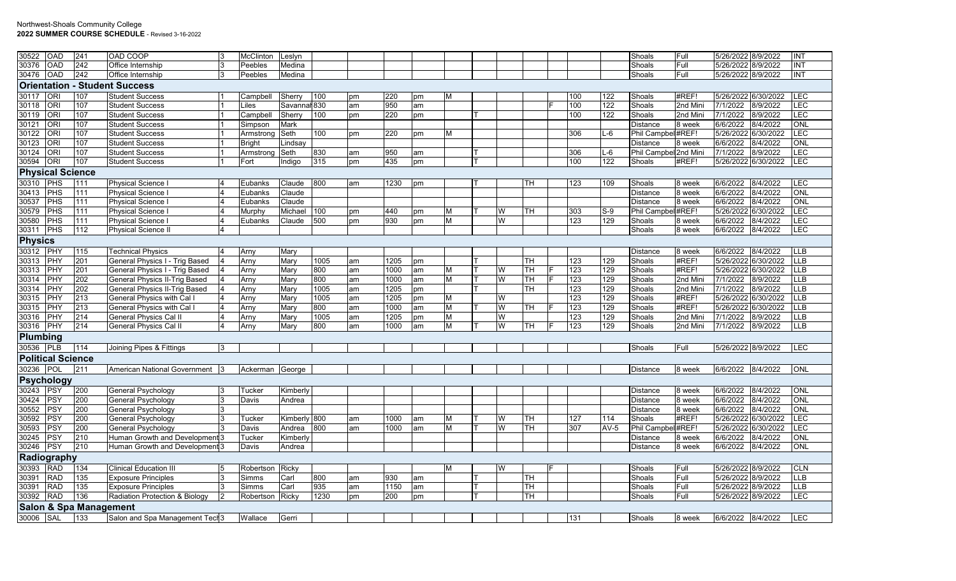| 30522          | OAD                      | 241                               | OAD COOP                             | <b>McClinton</b> | Leslyn       |      |    |      |    |   |   |    |     |        | Shoals                | Full     | 5/26/2022 8/9/2022  |           | INT         |
|----------------|--------------------------|-----------------------------------|--------------------------------------|------------------|--------------|------|----|------|----|---|---|----|-----|--------|-----------------------|----------|---------------------|-----------|-------------|
| 30376          | OAD                      | 242                               | Office Internship                    | Peebles          | Medina       |      |    |      |    |   |   |    |     |        | Shoals                | Full     | 5/26/2022 8/9/2022  |           | <b>INT</b>  |
| 30476          | <b>OAD</b>               | 242                               | Office Internship                    | Peebles          | Medina       |      |    |      |    |   |   |    |     |        | Shoals                | Full     | 5/26/2022 8/9/2022  |           | INT         |
|                |                          |                                   | <b>Orientation - Student Success</b> |                  |              |      |    |      |    |   |   |    |     |        |                       |          |                     |           |             |
| 30117          | ORI                      | 107                               | <b>Student Success</b>               | Campbell         | Sherry       | 100  | pm | 220  | pm | м |   |    | 100 | 122    | Shoals                | #REF!    | 5/26/2022 6/30/2022 |           | <b>ILEC</b> |
| 30118          | ORI                      | 107                               | <b>Student Success</b>               | .iles            | Savannal 830 |      | am | 950  | am |   |   |    | 100 | 122    | Shoals                | 2nd Mini | 7/1/2022            | 8/9/2022  | LEC         |
| 30119          | ORI                      | 107                               | <b>Student Success</b>               | Campbell         | Sherry       | 100  | pm | 220  | pm |   |   |    | 100 | 122    | Shoals                | 2nd Mini | 7/1/2022            | 8/9/2022  | <b>LEC</b>  |
| 30121          | <b>ORI</b>               | 107                               | <b>Student Success</b>               | Simpson          | Mark         |      |    |      |    |   |   |    |     |        | <b>Distance</b>       | 8 week   | 6/6/2022            | 8/4/2022  | ONL         |
| 30122          | ORI                      | 107                               | <b>Student Success</b>               | Armstrong        | Seth         | 100  | pm | 220  | pm | М |   |    | 306 | L-6    | Phil Campbel#REF!     |          | 5/26/2022 6/30/2022 |           | LEC         |
| 30123          | ORI                      | 107                               | <b>Student Success</b>               | <b>Bright</b>    | Lindsay      |      |    |      |    |   |   |    |     |        | <b>Distance</b>       | 8 week   | 6/6/2022            | 8/4/2022  | ONL         |
| 30124          | ORI                      | 107                               | <b>Student Success</b>               | Armstrong        | Seth         | 830  | am | 950  | am |   |   |    | 306 | $L-6$  | Phil Campbel 2nd Mini |          | 7/1/2022            | 8/9/2022  | LEC         |
| 30594          | <b>ORI</b>               | 107                               | <b>Student Success</b>               | Fort             | Indigo       | 315  | pm | 435  | pm |   |   |    | 100 | 122    | Shoals                | #REF!    | 5/26/2022 6/30/2022 |           | <b>LEC</b>  |
|                | <b>Physical Science</b>  |                                   |                                      |                  |              |      |    |      |    |   |   |    |     |        |                       |          |                     |           |             |
| 30310          | <b>PHS</b>               | 111                               | <b>Physical Science I</b>            | Eubanks          | Claude       | 800  | am | 1230 | pm |   |   | TН | 123 | 109    | Shoals                | 8 week   | 6/6/2022            | 8/4/2022  | LEC         |
| 30413          | PHS                      | 111                               | Physical Science                     | Eubanks          | Claude       |      |    |      |    |   |   |    |     |        | <b>Distance</b>       | 8 week   | 6/6/2022            | 8/4/2022  | ONL         |
| 30537          | PHS                      | 111                               | <b>Physical Science I</b>            | Eubanks          | Claude       |      |    |      |    |   |   |    |     |        | Distance              | 8 week   | 6/6/2022            | 8/4/2022  | ONL         |
| 30579          | PHS                      | 111                               | Physical Science                     | Murphy           | Michael      | 100  | pm | 440  | pm | м | W | TH | 303 | $S-9$  | Phil Campbel#REF!     |          | 5/26/2022 6/30/2022 |           | LEC         |
| 30580          | PHS                      | 111                               | <b>Physical Science I</b>            | Eubanks          | Claude       | 500  | pm | 930  | pm | M | W |    | 123 | 129    | Shoals                | 8 week   | 6/6/2022            | 8/4/2022  | <b>LEC</b>  |
| 30311          | PHS                      | 112                               | <b>Physical Science II</b>           |                  |              |      |    |      |    |   |   |    |     |        | Shoals                | 8 week   | 6/6/2022            | 8/4/2022  | <b>LEC</b>  |
| <b>Physics</b> |                          |                                   |                                      |                  |              |      |    |      |    |   |   |    |     |        |                       |          |                     |           |             |
| 30312          | PHY                      | 115                               | <b>Technical Physics</b>             | Arny             | Mary         |      |    |      |    |   |   |    |     |        | <b>Distance</b>       | 8 week   | 6/6/2022            | 8/4/2022  | <b>LLB</b>  |
| 30313          | PHY                      | 201                               | General Physics I - Trig Based       | Arny             | Mary         | 1005 | am | 1205 | pm |   |   | TН | 123 | 129    | Shoals                | #REF!    | 5/26/2022 6/30/2022 |           | <b>LLB</b>  |
| 30313          | PHY                      | 201                               | General Physics I - Trig Based       | Arny             | Mary         | 800  | am | 1000 | am | M | W | TН | 123 | 129    | Shoals                | #REF!    | 5/26/2022 6/30/2022 |           | <b>LLB</b>  |
| 30314          | PHY                      | 202                               | <b>General Physics II-Trig Based</b> | Arny             | Mary         | 800  | am | 1000 | am | M | W | TН | 123 | 129    | Shoals                | 2nd Mini | 7/1/2022            | 8/9/2022  | LLB         |
| 30314          | PHY                      | 202                               | <b>General Physics II-Trig Based</b> | Arny             | Mary         | 1005 | am | 1205 | pm |   |   | TН | 123 | 129    | Shoals                | 2nd Mini | 7/1/2022            | 8/9/2022  | LLB         |
| 30315          | PHY                      | 213                               | General Physics with Cal I           | Arny             | Mary         | 1005 | am | 1205 | pm | М | W |    | 123 | 129    | Shoals                | #REF!    | 5/26/2022 6/30/2022 |           | <b>LLB</b>  |
| 30315          | PHY                      | 213                               | General Physics with Cal I           | Arny             | Mary         | 800  | am | 1000 | am | M | W | TH | 123 | 129    | Shoals                | #REF!    | 5/26/2022           | 6/30/2022 | <b>LLB</b>  |
| 30316          | PHY                      | 214                               | General Physics Cal II               | Arny             | Mary         | 1005 | am | 1205 | pm | M | W |    | 123 | 129    | Shoals                | 2nd Mini | 7/1/2022            | 8/9/2022  | <b>LLB</b>  |
| 30316          | PHY                      | 214                               | <b>General Physics Cal II</b>        | Arny             | Mary         | 800  | am | 1000 | am | M | W | TH | 123 | 129    | Shoals                | 2nd Mini | 7/1/2022            | 8/9/2022  | <b>LLB</b>  |
| Plumbing       |                          |                                   |                                      |                  |              |      |    |      |    |   |   |    |     |        |                       |          |                     |           |             |
| 30536 PLB      |                          | 114                               | Joining Pipes & Fittings             |                  |              |      |    |      |    |   |   |    |     |        | Shoals                | Full     | 5/26/2022 8/9/2022  |           | LEC         |
|                | <b>Political Science</b> |                                   |                                      |                  |              |      |    |      |    |   |   |    |     |        |                       |          |                     |           |             |
| 30236 POL      |                          | 211                               | American National Government         | Ackerman George  |              |      |    |      |    |   |   |    |     |        | Distance              | 8 week   | 6/6/2022 8/4/2022   |           | <b>ONL</b>  |
|                | <b>Psychology</b>        |                                   |                                      |                  |              |      |    |      |    |   |   |    |     |        |                       |          |                     |           |             |
| 30243          | <b>PSY</b>               | 200                               | <b>General Psychology</b>            | Tucker           | Kimberly     |      |    |      |    |   |   |    |     |        | Distance              | 8 week   | 6/6/2022            | 8/4/2022  | ONL         |
| 30424          | <b>PSY</b>               | 200                               | <b>General Psychology</b>            | Davis            | Andrea       |      |    |      |    |   |   |    |     |        | Distance              | 8 week   | 6/6/2022            | 8/4/2022  | ONL         |
| 30552          | PSY                      | 200                               | General Psychology                   |                  |              |      |    |      |    |   |   |    |     |        | <b>Distance</b>       | 8 week   | 6/6/2022            | 8/4/2022  | ONL         |
| 30592          | PSY                      | 200                               | General Psychology                   | Tucker           | Kimberly 800 |      | am | 1000 | am | м | W | TН | 127 | 114    | Shoals                | #REF!    | 5/26/2022 6/30/2022 |           | LEC         |
| 30593          | PSY                      | 200                               | General Psychology                   | Davis            | Andrea       | 800  | am | 1000 | am | М | W | TН | 307 | $AV-5$ | Phil Campbel#REF!     |          | 5/26/2022 6/30/2022 |           | <b>LEC</b>  |
| 30245          | <b>PSY</b>               | 210                               | Human Growth and Development 3       | Tucker           | Kimberly     |      |    |      |    |   |   |    |     |        | Distance              | 8 week   | 6/6/2022            | 8/4/2022  | ONL         |
| 30246          | PSY                      | 210                               | Human Growth and Development 3       | Davis            | Andrea       |      |    |      |    |   |   |    |     |        | <b>Distance</b>       | 8 week   | 6/6/2022            | 8/4/2022  | <b>ONL</b>  |
|                | Radiography              |                                   |                                      |                  |              |      |    |      |    |   |   |    |     |        |                       |          |                     |           |             |
| 30393          | RAD                      | 134                               | <b>Clinical Education III</b>        | Robertson Ricky  |              |      |    |      |    | M | W |    |     |        | Shoals                | Full     | 5/26/2022 8/9/2022  |           | <b>CLN</b>  |
| 30391          | RAD                      | 135                               | <b>Exposure Principles</b>           | Simms            | Carl         | 800  | am | 930  | am |   |   | TН |     |        | Shoals                | Full     | 5/26/2022 8/9/2022  |           | <b>LLB</b>  |
| 30391          | <b>RAD</b>               | 135                               | <b>Exposure Principles</b>           | Simms            | Carl         | 935  | am | 1150 | am |   |   | TН |     |        | Shoals                | Full     | 5/26/2022 8/9/2022  |           | <b>LLB</b>  |
| 30392          | RAD                      | 136                               | Radiation Protection & Biology       | Robertson        | Ricky        | 1230 | pm | 200  | pm |   |   | TН |     |        | Shoals                | Full     | 5/26/2022 8/9/2022  |           | LEC         |
|                |                          | <b>Salon &amp; Spa Management</b> |                                      |                  |              |      |    |      |    |   |   |    |     |        |                       |          |                     |           |             |
| 30006          | <b>SAL</b>               | 133                               | Salon and Spa Management Tech 3      | Wallace          | Gerri        |      |    |      |    |   |   |    | 131 |        | Shoals                | 8 week   | 6/6/2022 8/4/2022   |           | <b>LEC</b>  |
|                |                          |                                   |                                      |                  |              |      |    |      |    |   |   |    |     |        |                       |          |                     |           |             |